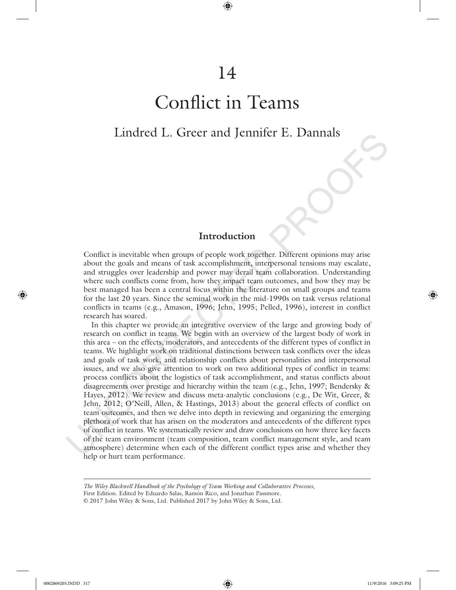◈

# Conflict in Teams

# Lindred L. Greer and Jennifer E. Dannals

## **Introduction**

Conflict is inevitable when groups of people work together. Different opinions may arise about the goals and means of task accomplishment, interpersonal tensions may escalate, and struggles over leadership and power may derail team collaboration. Understanding where such conflicts come from, how they impact team outcomes, and how they may be best managed has been a central focus within the literature on small groups and teams for the last 20 years. Since the seminal work in the mid‐1990s on task versus relational conflicts in teams (e.g., Amason, 1996; Jehn, 1995; Pelled, 1996), interest in conflict research has soared.

In this chapter we provide an integrative overview of the large and growing body of research on conflict in teams. We begin with an overview of the largest body of work in this area – on the effects, moderators, and antecedents of the different types of conflict in teams. We highlight work on traditional distinctions between task conflicts over the ideas and goals of task work, and relationship conflicts about personalities and interpersonal issues, and we also give attention to work on two additional types of conflict in teams: process conflicts about the logistics of task accomplishment, and status conflicts about disagreements over prestige and hierarchy within the team (e.g., Jehn, 1997; Bendersky & Hayes, 2012). We review and discuss meta‐analytic conclusions (e.g., De Wit, Greer, & Jehn, 2012; O'Neill, Allen, & Hastings, 2013) about the general effects of conflict on team outcomes, and then we delve into depth in reviewing and organizing the emerging plethora of work that has arisen on the moderators and antecedents of the different types of conflict in teams. We systematically review and draw conclusions on how three key facets of the team environment (team composition, team conflict management style, and team atmosphere) determine when each of the different conflict types arise and whether they help or hurt team performance. **EXERCT CONDUCT CONDUCT CONDUCT**<br> **EXERCT CONDUCT**<br> **EXERCT CONDUCT CONDUCT CONDUCTS**<br> **EXERCT CONDUCT**<br> **EXERCT CONDUCTS**<br> **EXERCT CONDUCTS**<br> **EXERCT CONDUCTS**<br> **EXERCT CONDUCTS**<br> **EXERCT CONDUCTS**<br> **EXERCT CONDUCTS**<br> **E** 

↔

*The Wiley Blackwell Handbook of the Psychology of Team Working and Collaborative Processes*,

First Edition. Edited by Eduardo Salas, Ramón Rico, and Jonathan Passmore.

<sup>© 2017</sup> John Wiley & Sons, Ltd. Published 2017 by John Wiley & Sons, Ltd.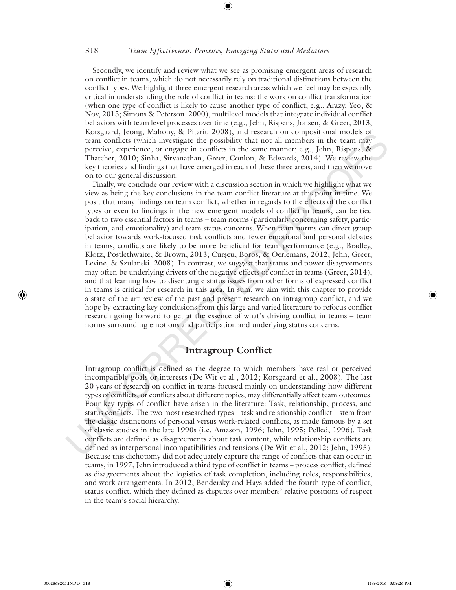⊕

Secondly, we identify and review what we see as promising emergent areas of research on conflict in teams, which do not necessarily rely on traditional distinctions between the conflict types. We highlight three emergent research areas which we feel may be especially critical in understanding the role of conflict in teams: the work on conflict transformation (when one type of conflict is likely to cause another type of conflict; e.g., Arazy, Yeo, & Nov, 2013; Simons & Peterson, 2000), multilevel models that integrate individual conflict behaviors with team level processes over time (e.g., Jehn, Rispens, Jonsen, & Greer, 2013; Korsgaard, Jeong, Mahony, & Pitariu 2008), and research on compositional models of team conflicts (which investigate the possibility that not all members in the team may perceive, experience, or engage in conflicts in the same manner; e.g., Jehn, Rispens, & Thatcher, 2010; Sinha, Sirvanathan, Greer, Conlon, & Edwards, 2014). We review the key theories and findings that have emerged in each of these three areas, and then we move on to our general discussion.

Finally, we conclude our review with a discussion section in which we highlight what we view as being the key conclusions in the team conflict literature at this point in time. We posit that many findings on team conflict, whether in regards to the effects of the conflict types or even to findings in the new emergent models of conflict in teams, can be tied back to two essential factors in teams – team norms (particularly concerning safety, participation, and emotionality) and team status concerns. When team norms can direct group behavior towards work‐focused task conflicts and fewer emotional and personal debates in teams, conflicts are likely to be more beneficial for team performance (e.g., Bradley, Klotz, Postlethwaite, & Brown, 2013; Curseu, Boros, & Oerlemans, 2012; Jehn, Greer, ̧ Levine, & Szulanski, 2008). In contrast, we suggest that status and power disagreements may often be underlying drivers of the negative effects of conflict in teams (Greer, 2014), and that learning how to disentangle status issues from other forms of expressed conflict in teams is critical for research in this area. In sum, we aim with this chapter to provide a state‐of‐the‐art review of the past and present research on intragroup conflict, and we hope by extracting key conclusions from this large and varied literature to refocus conflict research going forward to get at the essence of what's driving conflict in teams – team norms surrounding emotions and participation and underlying status concerns. Assignatin, roong, waaring and reader to the same many compositional modes or<br>team conflicts (which investigate the possibility that not all members in the team may<br>perceive, experience, or engage in conflicts in the same

## **Intragroup Conflict**

Intragroup conflict is defined as the degree to which members have real or perceived incompatible goals or interests (De Wit et al., 2012; Korsgaard et al., 2008). The last 20 years of research on conflict in teams focused mainly on understanding how different types of conflicts, or conflicts about different topics, may differentially affect team outcomes. Four key types of conflict have arisen in the literature: Task, relationship, process, and status conflicts. The two most researched types – task and relationship conflict – stem from the classic distinctions of personal versus work‐related conflicts, as made famous by a set of classic studies in the late 1990s (i.e. Amason, 1996; Jehn, 1995; Pelled, 1996). Task conflicts are defined as disagreements about task content, while relationship conflicts are defined as interpersonal incompatibilities and tensions (De Wit et al., 2012; Jehn, 1995). Because this dichotomy did not adequately capture the range of conflicts that can occur in teams, in 1997, Jehn introduced a third type of conflict in teams – process conflict, defined as disagreements about the logistics of task completion, including roles, responsibilities, and work arrangements. In 2012, Bendersky and Hays added the fourth type of conflict, status conflict, which they defined as disputes over members' relative positions of respect in the team's social hierarchy.

⊕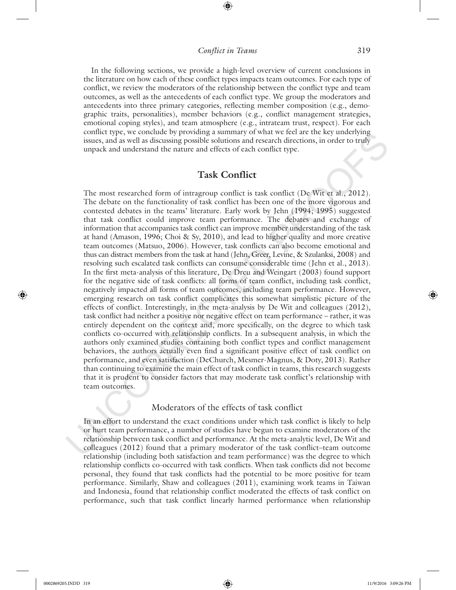⊕

In the following sections, we provide a high‐level overview of current conclusions in the literature on how each of these conflict types impacts team outcomes. For each type of conflict, we review the moderators of the relationship between the conflict type and team outcomes, as well as the antecedents of each conflict type. We group the moderators and antecedents into three primary categories, reflecting member composition (e.g., demographic traits, personalities), member behaviors (e.g., conflict management strategies, emotional coping styles), and team atmosphere (e.g., intrateam trust, respect). For each conflict type, we conclude by providing a summary of what we feel are the key underlying issues, and as well as discussing possible solutions and research directions, in order to truly unpack and understand the nature and effects of each conflict type.

## **Task Conflict**

The most researched form of intragroup conflict is task conflict (De Wit et al., 2012). The debate on the functionality of task conflict has been one of the more vigorous and contested debates in the teams' literature. Early work by Jehn (1994; 1995) suggested that task conflict could improve team performance. The debates and exchange of information that accompanies task conflict can improve member understanding of the task at hand (Amason, 1996; Choi & Sy, 2010), and lead to higher quality and more creative team outcomes (Matsuo, 2006). However, task conflicts can also become emotional and thus can distract members from the task at hand (Jehn, Greer, Levine, & Szulanksi, 2008) and resolving such escalated task conflicts can consume considerable time (Jehn et al., 2013). In the first meta‐analysis of this literature, De Dreu and Weingart (2003) found support for the negative side of task conflicts: all forms of team conflict, including task conflict, negatively impacted all forms of team outcomes, including team performance. However, emerging research on task conflict complicates this somewhat simplistic picture of the effects of conflict. Interestingly, in the meta‐analysis by De Wit and colleagues (2012), task conflict had neither a positive nor negative effect on team performance – rather, it was entirely dependent on the context and, more specifically, on the degree to which task conflicts co‐occurred with relationship conflicts. In a subsequent analysis, in which the authors only examined studies containing both conflict types and conflict management behaviors, the authors actually even find a significant positive effect of task conflict on performance, and even satisfaction (DeChurch, Mesmer‐Magnus, & Doty, 2013). Rather than continuing to examine the main effect of task conflict in teams, this research suggests that it is prudent to consider factors that may moderate task conflict's relationship with team outcomes. commet type, we conclude oy providing a samilary of winds we then are the set of macroscopic sistes, and as well as discussing possible solutions and research directions, in order to truly unpack and understand the nature

#### Moderators of the effects of task conflict

In an effort to understand the exact conditions under which task conflict is likely to help or hurt team performance, a number of studies have begun to examine moderators of the relationship between task conflict and performance. At the meta‐analytic level, De Wit and colleagues (2012) found that a primary moderator of the task conflict–team outcome relationship (including both satisfaction and team performance) was the degree to which relationship conflicts co‐occurred with task conflicts. When task conflicts did not become personal, they found that task conflicts had the potential to be more positive for team performance. Similarly, Shaw and colleagues (2011), examining work teams in Taiwan and Indonesia, found that relationship conflict moderated the effects of task conflict on performance, such that task conflict linearly harmed performance when relationship

⊕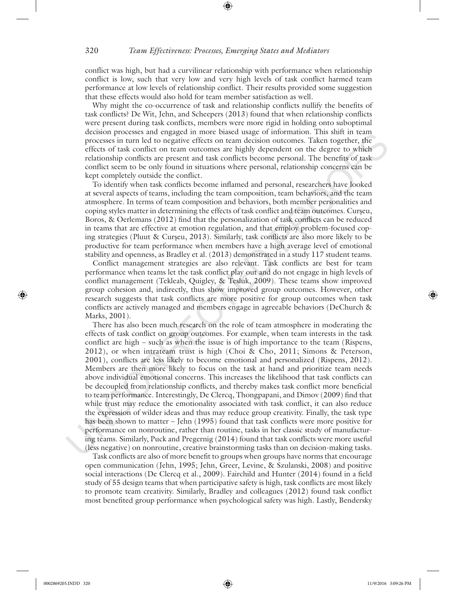conflict was high, but had a curvilinear relationship with performance when relationship conflict is low, such that very low and very high levels of task conflict harmed team performance at low levels of relationship conflict. Their results provided some suggestion that these effects would also hold for team member satisfaction as well.

Why might the co-occurrence of task and relationship conflicts nullify the benefits of task conflicts? De Wit, Jehn, and Scheepers (2013) found that when relationship conflicts were present during task conflicts, members were more rigid in holding onto suboptimal decision processes and engaged in more biased usage of information. This shift in team processes in turn led to negative effects on team decision outcomes. Taken together, the effects of task conflict on team outcomes are highly dependent on the degree to which relationship conflicts are present and task conflicts become personal. The benefits of task conflict seem to be only found in situations where personal, relationship concerns can be kept completely outside the conflict.

To identify when task conflicts become inflamed and personal, researchers have looked at several aspects of teams, including the team composition, team behaviors, and the team atmosphere. In terms of team composition and behaviors, both member personalities and coping styles matter in determining the effects of task conflict and team outcomes. Curseu, ̧ Boros, & Oerlemans (2012) find that the personalization of task conflicts can be reduced in teams that are effective at emotion regulation, and that employ problem‐focused coping strategies (Pluut & Curseu, 2013). Similarly, task conflicts are also more likely to be productive for team performance when members have a high average level of emotional stability and openness, as Bradley et al. (2013) demonstrated in a study 117 student teams.

Conflict management strategies are also relevant. Task conflicts are best for team performance when teams let the task conflict play out and do not engage in high levels of conflict management (Tekleab, Quigley, & Tesluk, 2009). These teams show improved group cohesion and, indirectly, thus show improved group outcomes. However, other research suggests that task conflicts are more positive for group outcomes when task conflicts are actively managed and members engage in agreeable behaviors (DeChurch & Marks, 2001).

There has also been much research on the role of team atmosphere in moderating the effects of task conflict on group outcomes. For example, when team interests in the task conflict are high – such as when the issue is of high importance to the team (Rispens, 2012), or when intrateam trust is high (Choi & Cho, 2011; Simons & Peterson, 2001), conflicts are less likely to become emotional and personalized (Rispens, 2012). Members are then more likely to focus on the task at hand and prioritize team needs above individual emotional concerns. This increases the likelihood that task conflicts can be decoupled from relationship conflicts, and thereby makes task conflict more beneficial to team performance. Interestingly, De Clercq, Thongpapani, and Dimov (2009) find that while trust may reduce the emotionality associated with task conflict, it can also reduce the expression of wilder ideas and thus may reduce group creativity. Finally, the task type has been shown to matter – Jehn (1995) found that task conflicts were more positive for performance on nonroutine, rather than routine, tasks in her classic study of manufacturing teams. Similarly, Puck and Pregernig (2014) found that task conflicts were more useful (less negative) on nonroutine, creative brainstorming tasks than on decision‐making tasks. accessors and cugage to more based using to internal the central theorem. This simulate processes in turn led to negative effects on team decision outcomes. Taken together, the effects of rask conflict on team antomos are

Task conflicts are also of more benefit to groups when groups have norms that encourage open communication (Jehn, 1995; Jehn, Greer, Levine, & Szulanski, 2008) and positive social interactions (De Clercq et al., 2009). Fairchild and Hunter (2014) found in a field study of 55 design teams that when participative safety is high, task conflicts are most likely to promote team creativity. Similarly, Bradley and colleagues (2012) found task conflict most benefited group performance when psychological safety was high. Lastly, Bendersky

↔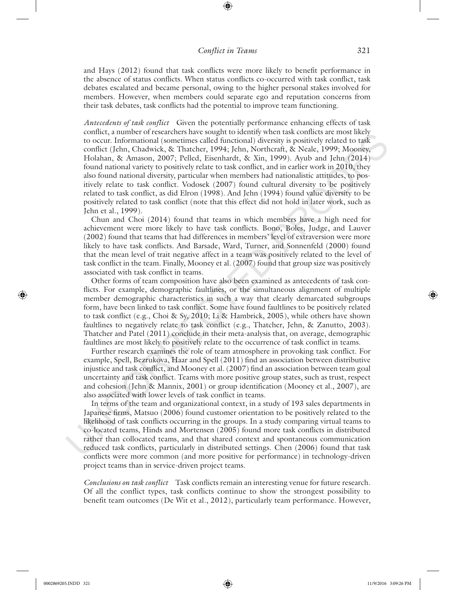⊕

and Hays (2012) found that task conflicts were more likely to benefit performance in the absence of status conflicts. When status conflicts co-occurred with task conflict, task debates escalated and became personal, owing to the higher personal stakes involved for members. However, when members could separate ego and reputation concerns from their task debates, task conflicts had the potential to improve team functioning.

*Antecedents of task conflict* Given the potentially performance enhancing effects of task conflict, a number of researchers have sought to identify when task conflicts are most likely to occur. Informational (sometimes called functional) diversity is positively related to task conflict (Jehn, Chadwick, & Thatcher, 1994; Jehn, Northcraft, & Neale, 1999; Mooney, Holahan, & Amason, 2007; Pelled, Eisenhardt, & Xin, 1999). Ayub and Jehn (2014) found national variety to positively relate to task conflict, and in earlier work in 2010, they also found national diversity, particular when members had nationalistic attitudes, to positively relate to task conflict. Vodosek (2007) found cultural diversity to be positively related to task conflict, as did Elron (1998). And Jehn (1994) found value diversity to be positively related to task conflict (note that this effect did not hold in later work, such as Jehn et al., 1999). count, a number of reacted method and the sought in other in the soudhear of reactions and the context method of the method of the scale of the factor and the context context context is positively related to task conterio

Chun and Choi (2014) found that teams in which members have a high need for achievement were more likely to have task conflicts. Bono, Boles, Judge, and Lauver (2002) found that teams that had differences in members' level of extraversion were more likely to have task conflicts. And Barsade, Ward, Turner, and Sonnenfeld (2000) found that the mean level of trait negative affect in a team was positively related to the level of task conflict in the team. Finally, Mooney et al. (2007) found that group size was positively associated with task conflict in teams.

Other forms of team composition have also been examined as antecedents of task conflicts. For example, demographic faultlines, or the simultaneous alignment of multiple member demographic characteristics in such a way that clearly demarcated subgroups form, have been linked to task conflict. Some have found faultlines to be positively related to task conflict (e.g., Choi & Sy, 2010; Li & Hambrick, 2005), while others have shown faultlines to negatively relate to task conflict (e.g., Thatcher, Jehn, & Zanutto, 2003). Thatcher and Patel (2011) conclude in their meta‐analysis that, on average, demographic faultlines are most likely to positively relate to the occurrence of task conflict in teams.

Further research examines the role of team atmosphere in provoking task conflict. For example, Spell, Bezrukova, Haar and Spell (2011) find an association between distributive injustice and task conflict, and Mooney et al. (2007) find an association between team goal uncertainty and task conflict. Teams with more positive group states, such as trust, respect and cohesion (Jehn & Mannix, 2001) or group identification (Mooney et al., 2007), are also associated with lower levels of task conflict in teams.

In terms of the team and organizational context, in a study of 193 sales departments in Japanese firms, Matsuo (2006) found customer orientation to be positively related to the likelihood of task conflicts occurring in the groups. In a study comparing virtual teams to co‐located teams, Hinds and Mortensen (2005) found more task conflicts in distributed rather than collocated teams, and that shared context and spontaneous communication reduced task conflicts, particularly in distributed settings. Chen (2006) found that task conflicts were more common (and more positive for performance) in technology-driven project teams than in service‐driven project teams.

*Conclusions on task conflict* Task conflicts remain an interesting venue for future research. Of all the conflict types, task conflicts continue to show the strongest possibility to benefit team outcomes (De Wit et al., 2012), particularly team performance. However,

⊕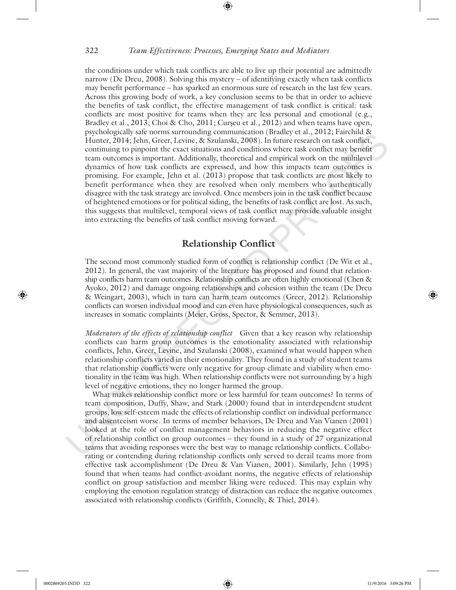⊕

the conditions under which task conflicts are able to live up their potential are admittedly narrow (De Dreu, 2008). Solving this mystery – of identifying exactly when task conflicts may benefit performance – has sparked an enormous sure of research in the last few years. Across this growing body of work, a key conclusion seems to be that in order to achieve the benefits of task conflict, the effective management of task conflict is critical: task conflicts are most positive for teams when they are less personal and emotional (e.g., Bradley et al., 2013; Choi & Cho, 2011; Curseu et al., 2012) and when teams have open, psychologically safe norms surrounding communication (Bradley et al., 2012; Fairchild & Hunter, 2014; Jehn, Greer, Levine, & Szulanski, 2008). In future research on task conflict, continuing to pinpoint the exact situations and conditions where task conflict may benefit team outcomes is important. Additionally, theoretical and empirical work on the multilevel dynamics of how task conflicts are expressed, and how this impacts team outcomes is promising. For example, Jehn et al. (2013) propose that task conflicts are most likely to benefit performance when they are resolved when only members who authentically disagree with the task strategy are involved. Once members join in the task conflict because of heightened emotions or for political siding, the benefits of task conflict are lost. As such, this suggests that multilevel, temporal views of task conflict may provide valuable insight into extracting the benefits of task conflict moving forward. psyconogramy sate normalism communication to praise the method and the regarding of the regarding to principal the east state in the regarding to principal term in our commission from the east of the reaction of the reacti

## **Relationship Conflict**

The second most commonly studied form of conflict is relationship conflict (De Wit et al., 2012). In general, the vast majority of the literature has proposed and found that relationship conflicts harm team outcomes. Relationship conflicts are often highly emotional (Chen & Ayoko, 2012) and damage ongoing relationships and cohesion within the team (De Dreu & Weingart, 2003), which in turn can harm team outcomes (Greer, 2012). Relationship conflicts can worsen individual mood and can even have physiological consequences, such as increases in somatic complaints (Meier, Gross, Spector, & Semmer, 2013).

*Moderators of the effects of relationship conflict* Given that a key reason why relationship conflicts can harm group outcomes is the emotionality associated with relationship conflicts, Jehn, Greer, Levine, and Szulanski (2008), examined what would happen when relationship conflicts varied in their emotionality. They found in a study of student teams that relationship conflicts were only negative for group climate and viability when emotionality in the team was high. When relationship conflicts were not surrounding by a high level of negative emotions, they no longer harmed the group.

What makes relationship conflict more or less harmful for team outcomes? In terms of team composition, Duffy, Shaw, and Stark (2000) found that in interdependent student groups, low self‐esteem made the effects of relationship conflict on individual performance and absenteeism worse. In terms of member behaviors, De Dreu and Van Vianen (2001) looked at the role of conflict management behaviors in reducing the negative effect of relationship conflict on group outcomes – they found in a study of 27 organizational teams that avoiding responses were the best way to manage relationship conflicts. Collaborating or contending during relationship conflicts only served to derail teams more from effective task accomplishment (De Dreu & Van Vianen, 2001). Similarly, Jehn (1995) found that when teams had conflict‐avoidant norms, the negative effects of relationship conflict on group satisfaction and member liking were reduced. This may explain why employing the emotion regulation strategy of distraction can reduce the negative outcomes associated with relationship conflicts (Griffith, Connelly, & Thiel, 2014).

⊕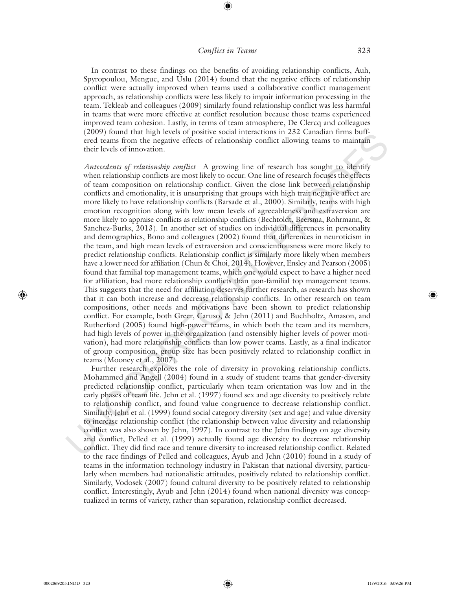⊕

In contrast to these findings on the benefits of avoiding relationship conflicts, Auh, Spyropoulou, Menguc, and Uslu (2014) found that the negative effects of relationship conflict were actually improved when teams used a collaborative conflict management approach, as relationship conflicts were less likely to impair information processing in the team. Tekleab and colleagues (2009) similarly found relationship conflict was less harmful in teams that were more effective at conflict resolution because those teams experienced improved team cohesion. Lastly, in terms of team atmosphere, De Clercq and colleagues (2009) found that high levels of positive social interactions in 232 Canadian firms buffered teams from the negative effects of relationship conflict allowing teams to maintain their levels of innovation.

*Antecedents of relationship conflict* A growing line of research has sought to identify when relationship conflicts are most likely to occur. One line of research focuses the effects of team composition on relationship conflict. Given the close link between relationship conflicts and emotionality, it is unsurprising that groups with high trait negative affect are more likely to have relationship conflicts (Barsade et al., 2000). Similarly, teams with high emotion recognition along with low mean levels of agreeableness and extraversion are more likely to appraise conflicts as relationship conflicts (Bechtoldt, Beersma, Rohrmann, & Sanchez‐Burks, 2013). In another set of studies on individual differences in personality and demographics, Bono and colleagues (2002) found that differences in neuroticism in the team, and high mean levels of extraversion and conscientiousness were more likely to predict relationship conflicts. Relationship conflict is similarly more likely when members have a lower need for affiliation (Chun & Choi, 2014). However, Ensley and Pearson (2005) found that familial top management teams, which one would expect to have a higher need for affiliation, had more relationship conflicts than non-familial top management teams. This suggests that the need for affiliation deserves further research, as research has shown that it can both increase and decrease relationship conflicts. In other research on team compositions, other needs and motivations have been shown to predict relationship conflict. For example, both Greer, Caruso, & Jehn (2011) and Buchholtz, Amason, and Rutherford (2005) found high‐power teams, in which both the team and its members, had high levels of power in the organization (and ostensibly higher levels of power motivation), had more relationship conflicts than low power teams. Lastly, as a final indicator of group composition, group size has been positively related to relationship conflict in teams (Mooney et al., 2007). (2009) bunnt that the material of the reaction of the controls and the controls of the controls and the reaction of the negative effects of relationship conflict allowing teams to maintain their levels of means the reactio

Further research explores the role of diversity in provoking relationship conflicts. Mohammed and Angell (2004) found in a study of student teams that gender‐diversity predicted relationship conflict, particularly when team orientation was low and in the early phases of team life. Jehn et al. (1997) found sex and age diversity to positively relate to relationship conflict, and found value congruence to decrease relationship conflict. Similarly, Jehn et al. (1999) found social category diversity (sex and age) and value diversity to increase relationship conflict (the relationship between value diversity and relationship conflict was also shown by Jehn, 1997). In contrast to the Jehn findings on age diversity and conflict, Pelled et al. (1999) actually found age diversity to decrease relationship conflict. They did find race and tenure diversity to increased relationship conflict. Related to the race findings of Pelled and colleagues, Ayub and Jehn (2010) found in a study of teams in the information technology industry in Pakistan that national diversity, particularly when members had nationalistic attitudes, positively related to relationship conflict. Similarly, Vodosek (2007) found cultural diversity to be positively related to relationship conflict. Interestingly, Ayub and Jehn (2014) found when national diversity was conceptualized in terms of variety, rather than separation, relationship conflict decreased.

↔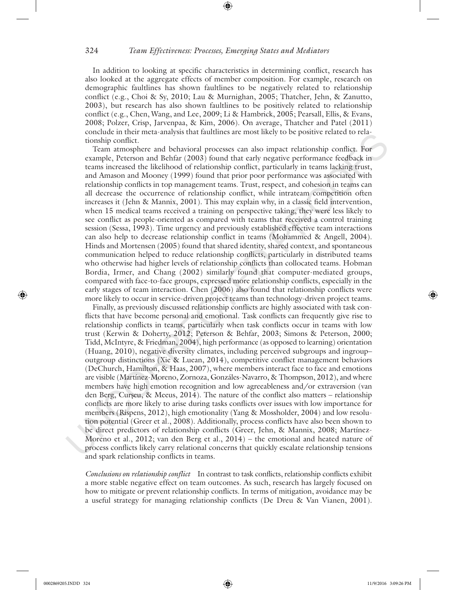In addition to looking at specific characteristics in determining conflict, research has also looked at the aggregate effects of member composition. For example, research on demographic faultlines has shown faultlines to be negatively related to relationship conflict (e.g., Choi & Sy, 2010; Lau & Murnighan, 2005; Thatcher, Jehn, & Zanutto, 2003), but research has also shown faultlines to be positively related to relationship conflict (e.g., Chen, Wang, and Lee, 2009; Li & Hambrick, 2005; Pearsall, Ellis, & Evans, 2008; Polzer, Crisp, Jarvenpaa, & Kim, 2006). On average, Thatcher and Patel (2011) conclude in their meta‐analysis that faultlines are most likely to be positive related to relationship conflict.

⊕

Team atmosphere and behavioral processes can also impact relationship conflict. For example, Peterson and Behfar (2003) found that early negative performance feedback in teams increased the likelihood of relationship conflict, particularly in teams lacking trust, and Amason and Mooney (1999) found that prior poor performance was associated with relationship conflicts in top management teams. Trust, respect, and cohesion in teams can all decrease the occurrence of relationship conflict, while intrateam competition often increases it (Jehn & Mannix, 2001). This may explain why, in a classic field intervention, when 15 medical teams received a training on perspective taking, they were less likely to see conflict as people‐oriented as compared with teams that received a control training session (Sessa, 1993). Time urgency and previously established effective team interactions can also help to decrease relationship conflict in teams (Mohammed & Angell, 2004). Hinds and Mortensen (2005) found that shared identity, shared context, and spontaneous communication helped to reduce relationship conflicts, particularly in distributed teams who otherwise had higher levels of relationship conflicts than collocated teams. Hobman Bordia, Irmer, and Chang (2002) similarly found that computer‐mediated groups, compared with face‐to‐face groups, expressed more relationship conflicts, especially in the early stages of team interaction. Chen (2006) also found that relationship conflicts were more likely to occur in service-driven project teams than technology-driven project teams. ordinal in turn meta-manyas tint adutions are most nicely to be positive related to rea-<br>consider in a meta-manyas tint adutions are most nicely to expositive relationships considered in the reample, Peterson and behavior

Finally, as previously discussed relationship conflicts are highly associated with task conflicts that have become personal and emotional. Task conflicts can frequently give rise to relationship conflicts in teams, particularly when task conflicts occur in teams with low trust (Kerwin & Doherty, 2012; Peterson & Behfar, 2003; Simons & Peterson, 2000; Tidd, McIntyre, & Friedman, 2004), high performance (as opposed to learning) orientation (Huang, 2010), negative diversity climates, including perceived subgroups and ingroup– outgroup distinctions (Xie & Luean, 2014), competitive conflict management behaviors (DeChurch, Hamilton, & Haas, 2007), where members interact face to face and emotions are visible (Martínez‐Moreno, Zornoza, Gonzáles‐Navarro, & Thompson, 2012), and where members have high emotion recognition and low agreeableness and/or extraversion (van den Berg, Curseu, & Meeus,  $2014$ ). The nature of the conflict also matters – relationship conflicts are more likely to arise during tasks conflicts over issues with low importance for members (Rispens, 2012), high emotionality (Yang & Mossholder, 2004) and low resolution potential (Greer et al., 2008). Additionally, process conflicts have also been shown to be direct predictors of relationship conflicts (Greer, Jehn, & Mannix, 2008; Martínez-Moreno et al., 2012; van den Berg et al., 2014) – the emotional and heated nature of process conflicts likely carry relational concerns that quickly escalate relationship tensions and spark relationship conflicts in teams.

*Conclusions on relationship conflict* In contrast to task conflicts, relationship conflicts exhibit a more stable negative effect on team outcomes. As such, research has largely focused on how to mitigate or prevent relationship conflicts. In terms of mitigation, avoidance may be a useful strategy for managing relationship conflicts (De Dreu & Van Vianen, 2001).

⊕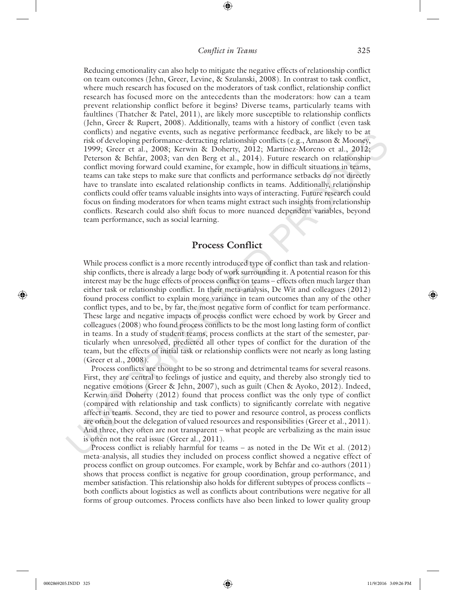⊕

Reducing emotionality can also help to mitigate the negative effects of relationship conflict on team outcomes (Jehn, Greer, Levine, & Szulanski, 2008). In contrast to task conflict, where much research has focused on the moderators of task conflict, relationship conflict research has focused more on the antecedents than the moderators: how can a team prevent relationship conflict before it begins? Diverse teams, particularly teams with faultlines (Thatcher & Patel, 2011), are likely more susceptible to relationship conflicts (Jehn, Greer & Rupert, 2008). Additionally, teams with a history of conflict (even task conflicts) and negative events, such as negative performance feedback, are likely to be at risk of developing performance-detracting relationship conflicts (e.g., Amason & Mooney, 1999; Greer et al., 2008; Kerwin & Doherty, 2012; Martínez‐Moreno et al., 2012; Peterson & Behfar, 2003; van den Berg et al., 2014). Future research on relationship conflict moving forward could examine, for example, how in difficult situations in teams, teams can take steps to make sure that conflicts and performance setbacks do not directly have to translate into escalated relationship conflicts in teams. Additionally, relationship conflicts could offer teams valuable insights into ways of interacting. Future research could focus on finding moderators for when teams might extract such insights from relationship conflicts. Research could also shift focus to more nuanced dependent variables, beyond team performance, such as social learning.

## **Process Conflict**

While process conflict is a more recently introduced type of conflict than task and relationship conflicts, there is already a large body of work surrounding it. A potential reason for this interest may be the huge effects of process conflict on teams – effects often much larger than either task or relationship conflict. In their meta‐analysis, De Wit and colleagues (2012) found process conflict to explain more variance in team outcomes than any of the other conflict types, and to be, by far, the most negative form of conflict for team performance. These large and negative impacts of process conflict were echoed by work by Greer and colleagues (2008) who found process conflicts to be the most long lasting form of conflict in teams. In a study of student teams, process conflicts at the start of the semester, particularly when unresolved, predicted all other types of conflict for the duration of the team, but the effects of initial task or relationship conflicts were not nearly as long lasting (Greer et al., 2008). commute) and negative vertus, such as negative proformance cheres are neary to  $\alpha$  and the properties of developing performance electrocity controllines (e.g., Amson & Mooney, 1999; Greer er al., 2003; Kerwin & Dohery, 2

Process conflicts are thought to be so strong and detrimental teams for several reasons. First, they are central to feelings of justice and equity, and thereby also strongly tied to negative emotions (Greer & Jehn, 2007), such as guilt (Chen & Ayoko, 2012). Indeed, Kerwin and Doherty (2012) found that process conflict was the only type of conflict (compared with relationship and task conflicts) to significantly correlate with negative affect in teams. Second, they are tied to power and resource control, as process conflicts are often bout the delegation of valued resources and responsibilities (Greer et al., 2011). And three, they often are not transparent – what people are verbalizing as the main issue is often not the real issue (Greer al., 2011).

Process conflict is reliably harmful for teams – as noted in the De Wit et al. (2012) meta‐analysis, all studies they included on process conflict showed a negative effect of process conflict on group outcomes. For example, work by Behfar and co‐authors (2011) shows that process conflict is negative for group coordination, group performance, and member satisfaction. This relationship also holds for different subtypes of process conflicts – both conflicts about logistics as well as conflicts about contributions were negative for all forms of group outcomes. Process conflicts have also been linked to lower quality group

⊕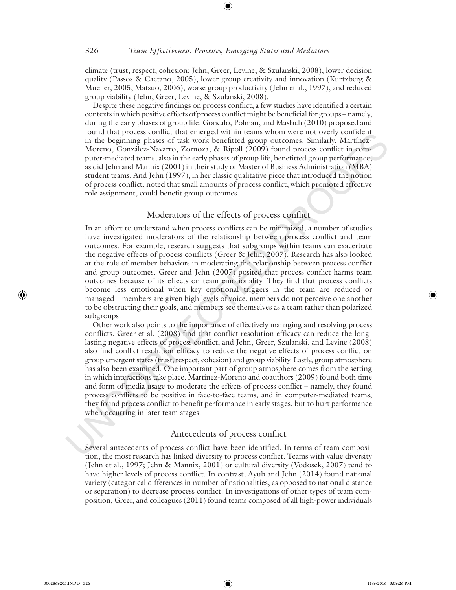climate (trust, respect, cohesion; Jehn, Greer, Levine, & Szulanski, 2008), lower decision quality (Passos & Caetano, 2005), lower group creativity and innovation (Kurtzberg & Mueller, 2005; Matsuo, 2006), worse group productivity (Jehn et al., 1997), and reduced group viability (Jehn, Greer, Levine, & Szulanski, 2008).

⊕

Despite these negative findings on process conflict, a few studies have identified a certain contexts in which positive effects of process conflict might be beneficial for groups – namely, during the early phases of group life. Goncalo, Polman, and Maslach (2010) proposed and found that process conflict that emerged within teams whom were not overly confident in the beginning phases of task work benefitted group outcomes. Similarly, Martínez-Moreno, González‐Navarro, Zornoza, & Ripoll (2009) found process conflict in computer‐mediated teams, also in the early phases of group life, benefitted group performance, as did Jehn and Mannix (2001) in their study of Master of Business Administration (MBA) student teams. And Jehn (1997), in her classic qualitative piece that introduced the notion of process conflict, noted that small amounts of process conflict, which promoted effective role assignment, could benefit group outcomes.

#### Moderators of the effects of process conflict

In an effort to understand when process conflicts can be minimized, a number of studies have investigated moderators of the relationship between process conflict and team outcomes. For example, research suggests that subgroups within teams can exacerbate the negative effects of process conflicts (Greer & Jehn, 2007). Research has also looked at the role of member behaviors in moderating the relationship between process conflict and group outcomes. Greer and Jehn (2007) posited that process conflict harms team outcomes because of its effects on team emotionality. They find that process conflicts become less emotional when key emotional triggers in the team are reduced or managed – members are given high levels of voice, members do not perceive one another to be obstructing their goals, and members see themselves as a team rather than polarized subgroups.

Other work also points to the importance of effectively managing and resolving process conflicts. Greer et al. (2008) find that conflict resolution efficacy can reduce the long‐ lasting negative effects of process conflict, and Jehn, Greer, Szulanski, and Levine (2008) also find conflict resolution efficacy to reduce the negative effects of process conflict on group emergent states (trust, respect, cohesion) and group viability. Lastly, group atmosphere has also been examined. One important part of group atmosphere comes from the setting in which interactions take place. Martínez‐Moreno and coauthors (2009) found both time and form of media usage to moderate the effects of process conflict – namely, they found process conflicts to be positive in face‐to‐face teams, and in computer‐mediated teams, they found process conflict to benefit performance in early stages, but to hurt performance when occurring in later team stages. From that process control tan calibre and the control of the control of the control of the beginning phases of task work benefited group outcomes. Similarly, Martines-<br>Moreno, Cornology, Source and Manak (2000) and proces

### Antecedents of process conflict

Several antecedents of process conflict have been identified. In terms of team composition, the most research has linked diversity to process conflict. Teams with value diversity (Jehn et al., 1997; Jehn & Mannix, 2001) or cultural diversity (Vodosek, 2007) tend to have higher levels of process conflict. In contrast, Ayub and Jehn (2014) found national variety (categorical differences in number of nationalities, as opposed to national distance or separation) to decrease process conflict. In investigations of other types of team composition, Greer, and colleagues (2011) found teams composed of all high‐power individuals

↔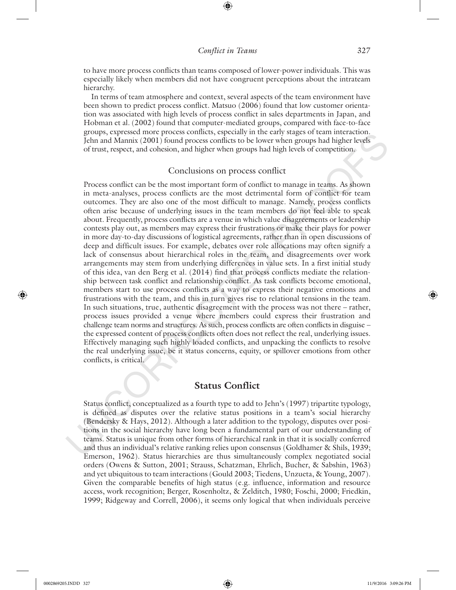⊕

to have more process conflicts than teams composed of lower‐power individuals. This was especially likely when members did not have congruent perceptions about the intrateam hierarchy.

In terms of team atmosphere and context, several aspects of the team environment have been shown to predict process conflict. Matsuo (2006) found that low customer orientation was associated with high levels of process conflict in sales departments in Japan, and Hobman et al. (2002) found that computer‐mediated groups, compared with face‐to‐face groups, expressed more process conflicts, especially in the early stages of team interaction. Jehn and Mannix (2001) found process conflicts to be lower when groups had higher levels of trust, respect, and cohesion, and higher when groups had high levels of competition.

#### Conclusions on process conflict

Process conflict can be the most important form of conflict to manage in teams. As shown in meta‐analyses, process conflicts are the most detrimental form of conflict for team outcomes. They are also one of the most difficult to manage. Namely, process conflicts often arise because of underlying issues in the team members do not feel able to speak about. Frequently, process conflicts are a venue in which value disagreements or leadership contests play out, as members may express their frustrations or make their plays for power in more day‐to‐day discussions of logistical agreements, rather than in open discussions of deep and difficult issues. For example, debates over role allocations may often signify a lack of consensus about hierarchical roles in the team, and disagreements over work arrangements may stem from underlying differences in value sets. In a first initial study of this idea, van den Berg et al. (2014) find that process conflicts mediate the relationship between task conflict and relationship conflict. As task conflicts become emotional, members start to use process conflicts as a way to express their negative emotions and frustrations with the team, and this in turn gives rise to relational tensions in the team. In such situations, true, authentic disagreement with the process was not there – rather, process issues provided a venue where members could express their frustration and challenge team norms and structures. As such, process conflicts are often conflicts in disguise – the expressed content of process conflicts often does not reflect the real, underlying issues. Effectively managing such highly loaded conflicts, and unpacking the conflicts to resolve the real underlying issue, be it status concerns, equity, or spillover emotions from other conflicts, is critical. Brougs, capresses annexe process continets to be lower when groups had higher levels<br>of trust, respect, and cohesion, and higher when groups had higher levels<br>of trust, respect, and cohesion, and higher when groups had hi

## **Status Conflict**

Status conflict, conceptualized as a fourth type to add to Jehn's (1997) tripartite typology, is defined as disputes over the relative status positions in a team's social hierarchy (Bendersky & Hays, 2012). Although a later addition to the typology, disputes over positions in the social hierarchy have long been a fundamental part of our understanding of teams. Status is unique from other forms of hierarchical rank in that it is socially conferred and thus an individual's relative ranking relies upon consensus (Goldhamer & Shils, 1939; Emerson, 1962). Status hierarchies are thus simultaneously complex negotiated social orders (Owens & Sutton, 2001; Strauss, Schatzman, Ehrlich, Bucher, & Sabshin, 1963) and yet ubiquitous to team interactions (Gould 2003; Tiedens, Unzueta, & Young, 2007). Given the comparable benefits of high status (e.g. influence, information and resource access, work recognition; Berger, Rosenholtz, & Zelditch, 1980; Foschi, 2000; Friedkin, 1999; Ridgeway and Correll, 2006), it seems only logical that when individuals perceive

⊕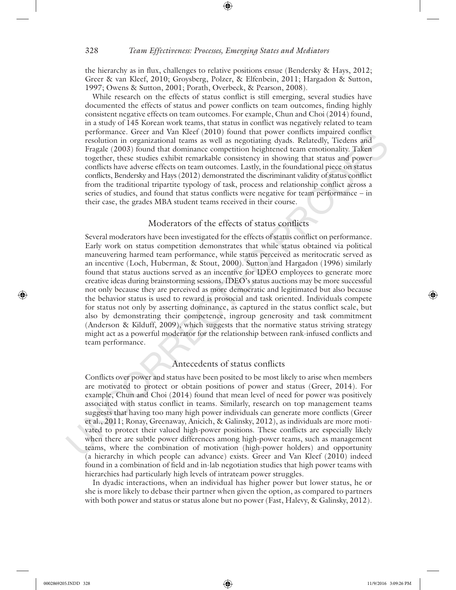the hierarchy as in flux, challenges to relative positions ensue (Bendersky & Hays, 2012; Greer & van Kleef, 2010; Groysberg, Polzer, & Elfenbein, 2011; Hargadon & Sutton, 1997; Owens & Sutton, 2001; Porath, Overbeck, & Pearson, 2008).

While research on the effects of status conflict is still emerging, several studies have documented the effects of status and power conflicts on team outcomes, finding highly consistent negative effects on team outcomes. For example, Chun and Choi (2014) found, in a study of 145 Korean work teams, that status in conflict was negatively related to team performance. Greer and Van Kleef (2010) found that power conflicts impaired conflict resolution in organizational teams as well as negotiating dyads. Relatedly, Tiedens and Fragale (2003) found that dominance competition heightened team emotionality. Taken together, these studies exhibit remarkable consistency in showing that status and power conflicts have adverse effects on team outcomes. Lastly, in the foundational piece on status conflicts, Bendersky and Hays (2012) demonstrated the discriminant validity of status conflict from the traditional tripartite typology of task, process and relationship conflict across a series of studies, and found that status conflicts were negative for team performance – in their case, the grades MBA student teams received in their course.

#### Moderators of the effects of status conflicts

Several moderators have been investigated for the effects of status conflict on performance. Early work on status competition demonstrates that while status obtained via political maneuvering harmed team performance, while status perceived as meritocratic served as an incentive (Loch, Huberman, & Stout, 2000). Sutton and Hargadon (1996) similarly found that status auctions served as an incentive for IDEO employees to generate more creative ideas during brainstorming sessions. IDEO's status auctions may be more successful not only because they are perceived as more democratic and legitimated but also because the behavior status is used to reward is prosocial and task oriented. Individuals compete for status not only by asserting dominance, as captured in the status conflict scale, but also by demonstrating their competence, ingroup generosity and task commitment (Anderson & Kilduff, 2009), which suggests that the normative status striving strategy might act as a powerful moderator for the relationship between rank‐infused conflicts and team performance. profitmation: Groter that was been counted and provide that provides impacts contact propared that a regardation in organizational teams as well as negotiating dyads. Relatedly, Tredens and Fragisle (2003) found that domin

#### Antecedents of status conflicts

Conflicts over power and status have been posited to be most likely to arise when members are motivated to protect or obtain positions of power and status (Greer, 2014). For example, Chun and Choi (2014) found that mean level of need for power was positively associated with status conflict in teams. Similarly, research on top management teams suggests that having too many high power individuals can generate more conflicts (Greer et al., 2011; Ronay, Greenaway, Anicich, & Galinsky, 2012), as individuals are more motivated to protect their valued high‐power positions. These conflicts are especially likely when there are subtle power differences among high-power teams, such as management teams, where the combination of motivation (high‐power holders) and opportunity (a hierarchy in which people can advance) exists. Greer and Van Kleef (2010) indeed found in a combination of field and in‐lab negotiation studies that high power teams with hierarchies had particularly high levels of intrateam power struggles.

In dyadic interactions, when an individual has higher power but lower status, he or she is more likely to debase their partner when given the option, as compared to partners with both power and status or status alone but no power (Fast, Halevy, & Galinsky, 2012).

↔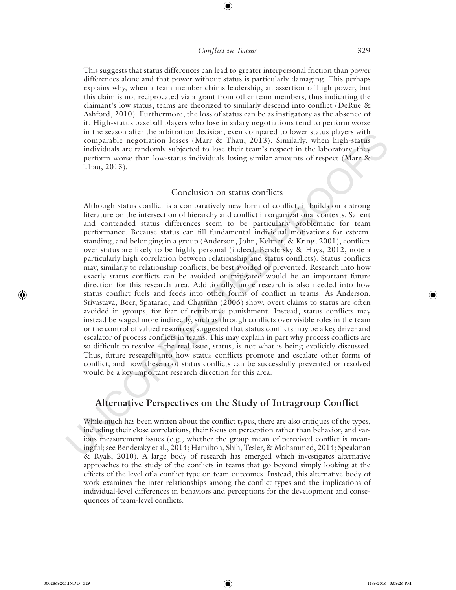⊕

This suggests that status differences can lead to greater interpersonal friction than power differences alone and that power without status is particularly damaging. This perhaps explains why, when a team member claims leadership, an assertion of high power, but this claim is not reciprocated via a grant from other team members, thus indicating the claimant's low status, teams are theorized to similarly descend into conflict (DeRue & Ashford, 2010). Furthermore, the loss of status can be as instigatory as the absence of it. High‐status baseball players who lose in salary negotiations tend to perform worse in the season after the arbitration decision, even compared to lower status players with comparable negotiation losses (Marr & Thau, 2013). Similarly, when high‐status individuals are randomly subjected to lose their team's respect in the laboratory, they perform worse than low‐status individuals losing similar amounts of respect (Marr & Thau, 2013).

#### Conclusion on status conflicts

Although status conflict is a comparatively new form of conflict, it builds on a strong literature on the intersection of hierarchy and conflict in organizational contexts. Salient and contended status differences seem to be particularly problematic for team performance. Because status can fill fundamental individual motivations for esteem, standing, and belonging in a group (Anderson, John, Keltner, & Kring, 2001), conflicts over status are likely to be highly personal (indeed, Bendersky & Hays, 2012, note a particularly high correlation between relationship and status conflicts). Status conflicts may, similarly to relationship conflicts, be best avoided or prevented. Research into how exactly status conflicts can be avoided or mitigated would be an important future direction for this research area. Additionally, more research is also needed into how status conflict fuels and feeds into other forms of conflict in teams. As Anderson, Srivastava, Beer, Spatarao, and Chatman (2006) show, overt claims to status are often avoided in groups, for fear of retributive punishment. Instead, status conflicts may instead be waged more indirectly, such as through conflicts over visible roles in the team or the control of valued resources, suggested that status conflicts may be a key driver and escalator of process conflicts in teams. This may explain in part why process conflicts are so difficult to resolve – the real issue, status, is not what is being explicitly discussed. Thus, future research into how status conflicts promote and escalate other forms of conflict, and how these root status conflicts can be successfully prevented or resolved would be a key important research direction for this area. In the season atter at any total conduct of the state in the state paper with the state in the state in the state in the state in the state in the state in the state in the state in the state in the state in the state of t

## **Alternative Perspectives on the Study of Intragroup Conflict**

While much has been written about the conflict types, there are also critiques of the types, including their close correlations, their focus on perception rather than behavior, and various measurement issues (e.g., whether the group mean of perceived conflict is meaningful; see Bendersky et al., 2014; Hamilton, Shih, Tesler, & Mohammed, 2014; Speakman & Ryals, 2010). A large body of research has emerged which investigates alternative approaches to the study of the conflicts in teams that go beyond simply looking at the effects of the level of a conflict type on team outcomes. Instead, this alternative body of work examines the inter‐relationships among the conflict types and the implications of individual-level differences in behaviors and perceptions for the development and consequences of team‐level conflicts.

⊕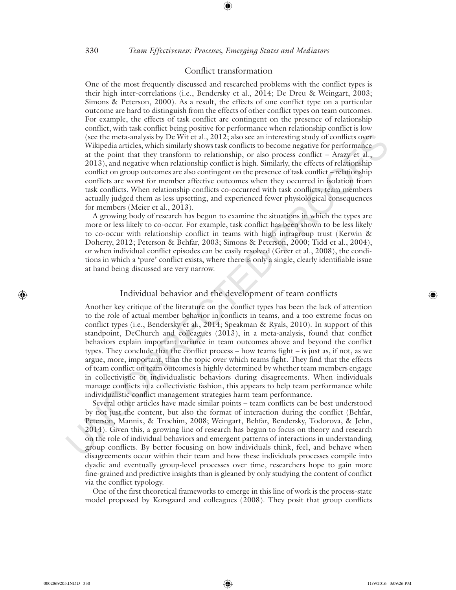⊕

## Conflict transformation

One of the most frequently discussed and researched problems with the conflict types is their high inter‐correlations (i.e., Bendersky et al., 2014; De Dreu & Weingart, 2003; Simons & Peterson, 2000). As a result, the effects of one conflict type on a particular outcome are hard to distinguish from the effects of other conflict types on team outcomes. For example, the effects of task conflict are contingent on the presence of relationship conflict, with task conflict being positive for performance when relationship conflict is low (see the meta‐analysis by De Wit et al., 2012; also see an interesting study of conflicts over Wikipedia articles, which similarly shows task conflicts to become negative for performance at the point that they transform to relationship, or also process conflict – Arazy et al., 2013), and negative when relationship conflict is high. Similarly, the effects of relationship conflict on group outcomes are also contingent on the presence of task conflict – relationship conflicts are worst for member affective outcomes when they occurred in isolation from task conflicts. When relationship conflicts co‐occurred with task conflicts, team members actually judged them as less upsetting, and experienced fewer physiological consequences for members (Meier et al., 2013).

A growing body of research has begun to examine the situations in which the types are more or less likely to co-occur. For example, task conflict has been shown to be less likely to co‐occur with relationship conflict in teams with high intragroup trust (Kerwin & Doherty, 2012; Peterson & Behfar, 2003; Simons & Peterson, 2000; Tidd et al., 2004), or when individual conflict episodes can be easily resolved (Greer et al., 2008), the conditions in which a 'pure' conflict exists, where there is only a single, clearly identifiable issue at hand being discussed are very narrow.

#### Individual behavior and the development of team conflicts

Another key critique of the literature on the conflict types has been the lack of attention to the role of actual member behavior in conflicts in teams, and a too extreme focus on conflict types (i.e., Bendersky et al., 2014; Speakman & Ryals, 2010). In support of this standpoint, DeChurch and colleagues (2013), in a meta-analysis, found that conflict behaviors explain important variance in team outcomes above and beyond the conflict types. They conclude that the conflict process – how teams fight – is just as, if not, as we argue, more, important, than the topic over which teams fight. They find that the effects of team conflict on team outcomes is highly determined by whether team members engage in collectivistic or individualistic behaviors during disagreements. When individuals manage conflicts in a collectivistic fashion, this appears to help team performance while individualistic conflict management strategies harm team performance. (see the neutr-analysis by De Wir et al., 2012; also see an interesting study of conflicts over the point in points of Wir et al., 2012; also see an interesting study of conflicts or the point have the point with the poin

Several other articles have made similar points – team conflicts can be best understood by not just the content, but also the format of interaction during the conflict (Behfar, Peterson, Mannix, & Trochim, 2008; Weingart, Behfar, Bendersky, Todorova, & Jehn, 2014). Given this, a growing line of research has begun to focus on theory and research on the role of individual behaviors and emergent patterns of interactions in understanding group conflicts. By better focusing on how individuals think, feel, and behave when disagreements occur within their team and how these individuals processes compile into dyadic and eventually group‐level processes over time, researchers hope to gain more fine‐grained and predictive insights than is gleaned by only studying the content of conflict via the conflict typology.

One of the first theoretical frameworks to emerge in this line of work is the process‐state model proposed by Korsgaard and colleagues (2008). They posit that group conflicts

⊕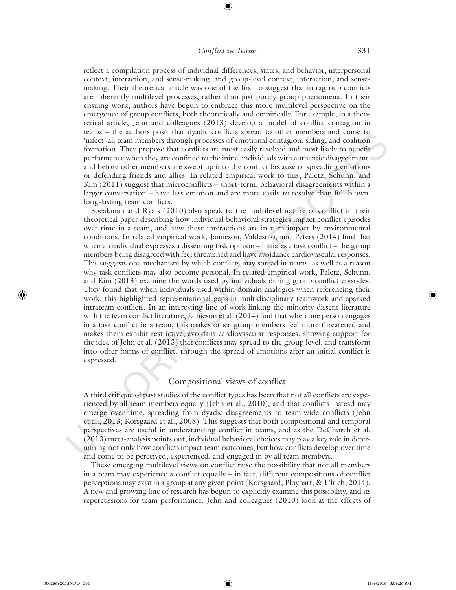⊕

reflect a compilation process of individual differences, states, and behavior, interpersonal context, interaction, and sense-making, and group-level context, interaction, and sensemaking. Their theoretical article was one of the first to suggest that intragroup conflicts are inherently multilevel processes, rather than just purely group phenomena. In their ensuing work, authors have begun to embrace this more multilevel perspective on the emergence of group conflicts, both theoretically and empirically. For example, in a theoretical article, Jehn and colleagues (2013) develop a model of conflict contagion in teams – the authors posit that dyadic conflicts spread to other members and come to 'infect' all team members through processes of emotional contagion, siding, and coalition formation. They propose that conflicts are most easily resolved and most likely to benefit performance when they are confined to the initial individuals with authentic disagreement, and before other members are swept up into the conflict because of spreading emotions or defending friends and allies. In related empirical work to this, Paletz, Schunn, and Kim (2011) suggest that microconflicts – short-term, behavioral disagreements within a larger conversation – have less emotion and are more easily to resolve than full‐blown, long‐lasting team conflicts.

Speakman and Ryals (2010) also speak to the multilevel nature of conflict in their theoretical paper describing how individual behavioral strategies impact conflict episodes over time in a team, and how these interactions are in turn impact by environmental conditions. In related empirical work, Jamieson, Valdesolo, and Peters (2014) find that when an individual expresses a dissenting task opinion – initiates a task conflict – the group members being disagreed with feel threatened and have avoidance cardiovascular responses. This suggests one mechanism by which conflicts may spread in teams, as well as a reason why task conflicts may also become personal. In related empirical work, Paletz, Schunn, and Kim (2013) examine the words used by individuals during group conflict episodes. They found that when individuals used within‐domain analogies when referencing their work, this highlighted representational gaps in multidisciplinary teamwork and sparked intrateam conflicts. In an interesting line of work linking the minority dissent literature with the team conflict literature, Jamieson et al. (2014) find that when one person engages in a task conflict in a team, this makes other group members feel more threatened and makes them exhibit restrictive, avoidant cardiovascular responses, showing support for the idea of Jehn et al. (2013) that conflicts may spread to the group level, and transform into other forms of conflict, through the spread of emotions after an initial conflict is expressed. This are an analysis part in way in commutes spectral to other methods and coincil to the methods points that way the spectral is the most easily resolute of the minimum. They propose that confinite star most easily resolu

#### Compositional views of conflict

A third critique of past studies of the conflict types has been that not all conflicts are experienced by all team members equally (Jehn et al., 2010), and that conflicts instead may emerge over time, spreading from dyadic disagreements to team‐wide conflicts (Jehn et al., 2013; Korsgaard et al., 2008). This suggests that both compositional and temporal perspectives are useful in understanding conflict in teams, and as the DeChurch et al. (2013) meta‐analysis points out, individual behavioral choices may play a key role in determining not only how conflicts impact team outcomes, but how conflicts develop over time and come to be perceived, experienced, and engaged in by all team members.

These emerging multilevel views on conflict raise the possibility that not all members in a team may experience a conflict equally – in fact, different compositions of conflict perceptions may exist in a group at any given point (Korsgaard, Ployhart, & Ulrich, 2014). A new and growing line of research has begun to explicitly examine this possibility, and its repercussions for team performance. Jehn and colleagues (2010) look at the effects of

⊕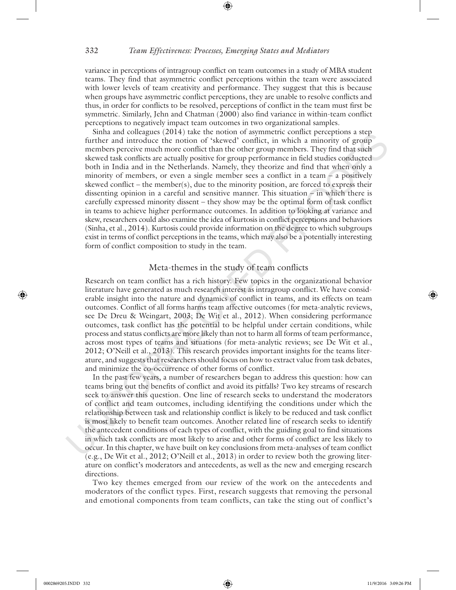variance in perceptions of intragroup conflict on team outcomes in a study of MBA student teams. They find that asymmetric conflict perceptions within the team were associated with lower levels of team creativity and performance. They suggest that this is because when groups have asymmetric conflict perceptions, they are unable to resolve conflicts and thus, in order for conflicts to be resolved, perceptions of conflict in the team must first be symmetric. Similarly, Jehn and Chatman (2000) also find variance in within-team conflict perceptions to negatively impact team outcomes in two organizational samples.

Sinha and colleagues (2014) take the notion of asymmetric conflict perceptions a step further and introduce the notion of 'skewed' conflict, in which a minority of group members perceive much more conflict than the other group members. They find that such skewed task conflicts are actually positive for group performance in field studies conducted both in India and in the Netherlands. Namely, they theorize and find that when only a minority of members, or even a single member sees a conflict in a team – a positively skewed conflict – the member(s), due to the minority position, are forced to express their dissenting opinion in a careful and sensitive manner. This situation – in which there is carefully expressed minority dissent – they show may be the optimal form of task conflict in teams to achieve higher performance outcomes. In addition to looking at variance and skew, researchers could also examine the idea of kurtosis in conflict perceptions and behaviors (Sinha, et al., 2014). Kurtosis could provide information on the degree to which subgroups exist in terms of conflict perceptions in the teams, which may also be a potentially interesting form of conflict composition to study in the team. simm and conceaptes to the motion of systems that the motion of systems and system much a minority of group<br>members preceive much motion of "skewed" conflict, in which a minority of group<br>members preceive much more conflic

#### Meta-themes in the study of team conflicts

Research on team conflict has a rich history. Few topics in the organizational behavior literature have generated as much research interest as intragroup conflict. We have considerable insight into the nature and dynamics of conflict in teams, and its effects on team outcomes. Conflict of all forms harms team affective outcomes (for meta‐analytic reviews, see De Dreu & Weingart, 2003; De Wit et al., 2012). When considering performance outcomes, task conflict has the potential to be helpful under certain conditions, while process and status conflicts are more likely than not to harm all forms of team performance, across most types of teams and situations (for meta‐analytic reviews; see De Wit et al., 2012; O'Neill et al., 2013). This research provides important insights for the teams literature, and suggests that researchers should focus on how to extract value from task debates, and minimize the co‐occurrence of other forms of conflict.

In the past few years, a number of researchers began to address this question: how can teams bring out the benefits of conflict and avoid its pitfalls? Two key streams of research seek to answer this question. One line of research seeks to understand the moderators of conflict and team outcomes, including identifying the conditions under which the relationship between task and relationship conflict is likely to be reduced and task conflict is most likely to benefit team outcomes. Another related line of research seeks to identify the antecedent conditions of each types of conflict, with the guiding goal to find situations in which task conflicts are most likely to arise and other forms of conflict are less likely to occur. In this chapter, we have built on key conclusions from meta‐analyses of team conflict (e.g., De Wit et al., 2012; O'Neill et al., 2013) in order to review both the growing literature on conflict's moderators and antecedents, as well as the new and emerging research directions.

Two key themes emerged from our review of the work on the antecedents and moderators of the conflict types. First, research suggests that removing the personal and emotional components from team conflicts, can take the sting out of conflict's

⊕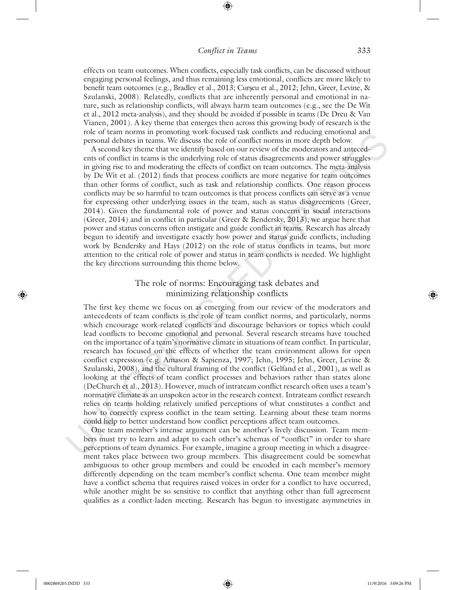⊕

effects on team outcomes. When conflicts, especially task conflicts, can be discussed without engaging personal feelings, and thus remaining less emotional, conflicts are more likely to benefit team outcomes (e.g., Bradley et al., 2013; Curseu et al., 2012; Jehn, Greer, Levine, & Szulanski, 2008). Relatedly, conflicts that are inherently personal and emotional in nature, such as relationship conflicts, will always harm team outcomes (e.g., see the De Wit et al., 2012 meta‐analysis), and they should be avoided if possible in teams (De Dreu & Van Vianen, 2001). A key theme that emerges then across this growing body of research is the role of team norms in promoting work‐focused task conflicts and reducing emotional and personal debates in teams. We discuss the role of conflict norms in more depth below.

A second key theme that we identify based on our review of the moderators and antecedents of conflict in teams is the underlying role of status disagreements and power struggles in giving rise to and moderating the effects of conflict on team outcomes. The meta‐analysis by De Wit et al. (2012) finds that process conflicts are more negative for team outcomes than other forms of conflict, such as task and relationship conflicts. One reason process conflicts may be so harmful to team outcomes is that process conflicts can serve as a venue for expressing other underlying issues in the team, such as status disagreements (Greer, 2014). Given the fundamental role of power and status concerns in social interactions (Greer, 2014) and in conflict in particular (Greer & Bendersky, 2013), we argue here that power and status concerns often instigate and guide conflict in teams. Research has already begun to identify and investigate exactly how power and status guide conflicts, including work by Bendersky and Hays (2012) on the role of status conflicts in teams, but more attention to the critical role of power and status in team conflicts is needed. We highlight the key directions surrounding this theme below.

## The role of norms: Encouraging task debates and minimizing relationship conflicts

The first key theme we focus on as emerging from our review of the moderators and antecedents of team conflicts is the role of team conflict norms, and particularly, norms which encourage work-related conflicts and discourage behaviors or topics which could lead conflicts to become emotional and personal. Several research streams have touched on the importance of a team's normative climate in situations of team conflict. In particular, research has focused on the effects of whether the team environment allows for open conflict expression (e.g. Amason & Sapienza, 1997; Jehn, 1995; Jehn, Greer, Levine & Szulanski, 2008), and the cultural framing of the conflict (Gelfand et al., 2001), as well as looking at the effects of team conflict processes and behaviors rather than states alone (DeChurch et al., 2013). However, much of intrateam conflict research often uses a team's normative climate as an unspoken actor in the research context. Intrateam conflict research relies on teams holding relatively unified perceptions of what constitutes a conflict and how to correctly express conflict in the team setting. Learning about these team norms could help to better understand how conflict perceptions affect team outcomes. Tote of team increasing work busines in equitions in the columnely and receiver a second debutes in team in the debuty denote of the method and another and another of the second lay the method and another the method of the

One team member's intense argument can be another's lively discussion. Team members must try to learn and adapt to each other's schemas of "conflict" in order to share perceptions of team dynamics. For example, imagine a group meeting in which a disagreement takes place between two group members. This disagreement could be somewhat ambiguous to other group members and could be encoded in each member's memory differently depending on the team member's conflict schema. One team member might have a conflict schema that requires raised voices in order for a conflict to have occurred, while another might be so sensitive to conflict that anything other than full agreement qualifies as a conflict-laden meeting. Research has begun to investigate asymmetries in

⊕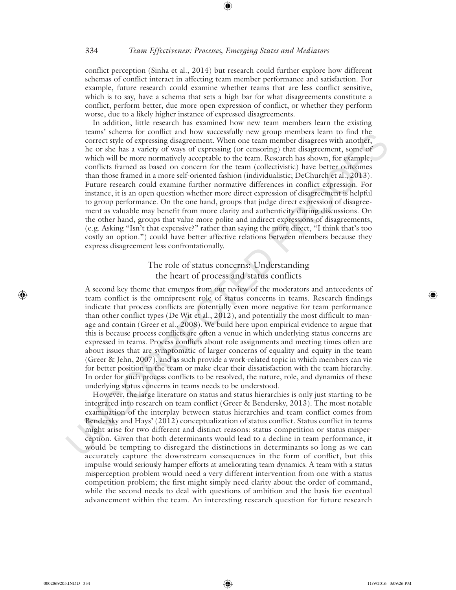conflict perception (Sinha et al., 2014) but research could further explore how different schemas of conflict interact in affecting team member performance and satisfaction. For example, future research could examine whether teams that are less conflict sensitive, which is to say, have a schema that sets a high bar for what disagreements constitute a conflict, perform better, due more open expression of conflict, or whether they perform worse, due to a likely higher instance of expressed disagreements.

In addition, little research has examined how new team members learn the existing teams' schema for conflict and how successfully new group members learn to find the correct style of expressing disagreement. When one team member disagrees with another, he or she has a variety of ways of expressing (or censoring) that disagreement, some of which will be more normatively acceptable to the team. Research has shown, for example, conflicts framed as based on concern for the team (collectivistic) have better outcomes than those framed in a more self‐oriented fashion (individualistic; DeChurch et al., 2013). Future research could examine further normative differences in conflict expression. For instance, it is an open question whether more direct expression of disagreement is helpful to group performance. On the one hand, groups that judge direct expression of disagreement as valuable may benefit from more clarity and authenticity during discussions. On the other hand, groups that value more polite and indirect expressions of disagreements, (e.g. Asking "Isn't that expensive?" rather than saying the more direct, "I think that's too costly an option.") could have better affective relations between members because they express disagreement less confrontationally. ation is control and not of the that the systems and the system while the order of the train systems of correct style of expressing disagreement. When one team member disagrees with another, he or she has a variety of ways

## The role of status concerns: Understanding the heart of process and status conflicts

A second key theme that emerges from our review of the moderators and antecedents of team conflict is the omnipresent role of status concerns in teams. Research findings indicate that process conflicts are potentially even more negative for team performance than other conflict types (De Wit et al., 2012), and potentially the most difficult to manage and contain (Greer et al., 2008). We build here upon empirical evidence to argue that this is because process conflicts are often a venue in which underlying status concerns are expressed in teams. Process conflicts about role assignments and meeting times often are about issues that are symptomatic of larger concerns of equality and equity in the team (Greer & Jehn, 2007), and as such provide a work‐related topic in which members can vie for better position in the team or make clear their dissatisfaction with the team hierarchy. In order for such process conflicts to be resolved, the nature, role, and dynamics of these underlying status concerns in teams needs to be understood.

However, the large literature on status and status hierarchies is only just starting to be integrated into research on team conflict (Greer & Bendersky, 2013). The most notable examination of the interplay between status hierarchies and team conflict comes from Bendersky and Hays' (2012) conceptualization of status conflict. Status conflict in teams might arise for two different and distinct reasons: status competition or status misperception. Given that both determinants would lead to a decline in team performance, it would be tempting to disregard the distinctions in determinants so long as we can accurately capture the downstream consequences in the form of conflict, but this impulse would seriously hamper efforts at ameliorating team dynamics. A team with a status misperception problem would need a very different intervention from one with a status competition problem; the first might simply need clarity about the order of command, while the second needs to deal with questions of ambition and the basis for eventual advancement within the team. An interesting research question for future research

◈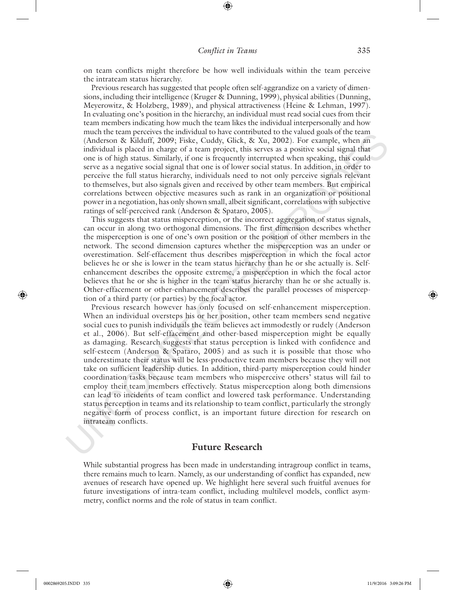⊕

on team conflicts might therefore be how well individuals within the team perceive the intrateam status hierarchy.

Previous research has suggested that people often self‐aggrandize on a variety of dimensions, including their intelligence (Kruger & Dunning, 1999), physical abilities (Dunning, Meyerowitz, & Holzberg, 1989), and physical attractiveness (Heine & Lehman, 1997). In evaluating one's position in the hierarchy, an individual must read social cues from their team members indicating how much the team likes the individual interpersonally and how much the team perceives the individual to have contributed to the valued goals of the team (Anderson & Kilduff, 2009; Fiske, Cuddy, Glick, & Xu, 2002). For example, when an individual is placed in charge of a team project, this serves as a positive social signal that one is of high status. Similarly, if one is frequently interrupted when speaking, this could serve as a negative social signal that one is of lower social status. In addition, in order to perceive the full status hierarchy, individuals need to not only perceive signals relevant to themselves, but also signals given and received by other team members. But empirical correlations between objective measures such as rank in an organization or positional power in a negotiation, has only shown small, albeit significant, correlations with subjective ratings of self‐perceived rank (Anderson & Spataro, 2005).

This suggests that status misperception, or the incorrect aggregation of status signals, can occur in along two orthogonal dimensions. The first dimension describes whether the misperception is one of one's own position or the position of other members in the network. The second dimension captures whether the misperception was an under or overestimation. Self‐effacement thus describes misperception in which the focal actor believes he or she is lower in the team status hierarchy than he or she actually is. Selfenhancement describes the opposite extreme, a misperception in which the focal actor believes that he or she is higher in the team status hierarchy than he or she actually is. Other‐effacement or other‐enhancement describes the parallel processes of misperception of a third party (or parties) by the focal actor.

Previous research however has only focused on self-enhancement misperception. When an individual oversteps his or her position, other team members send negative social cues to punish individuals the team believes act immodestly or rudely (Anderson et al., 2006). But self‐effacement and other‐based misperception might be equally as damaging. Research suggests that status perception is linked with confidence and self‐esteem (Anderson & Spataro, 2005) and as such it is possible that those who underestimate their status will be less‐productive team members because they will not take on sufficient leadership duties. In addition, third‐party misperception could hinder coordination tasks because team members who misperceive others' status will fail to employ their team members effectively. Status misperception along both dimensions can lead to incidents of team conflict and lowered task performance. Understanding status perception in teams and its relationship to team conflict, particularly the strongly negative form of process conflict, is an important future direction for research on intrateam conflicts. methem technique transmission and method in the case of the match in the case of the case of the case and proposition of the case and proposition of the case and the case and the state of a term propose, the serves as a po

## **Future Research**

While substantial progress has been made in understanding intragroup conflict in teams, there remains much to learn. Namely, as our understanding of conflict has expanded, new avenues of research have opened up. We highlight here several such fruitful avenues for future investigations of intra‐team conflict, including multilevel models, conflict asymmetry, conflict norms and the role of status in team conflict.

⊕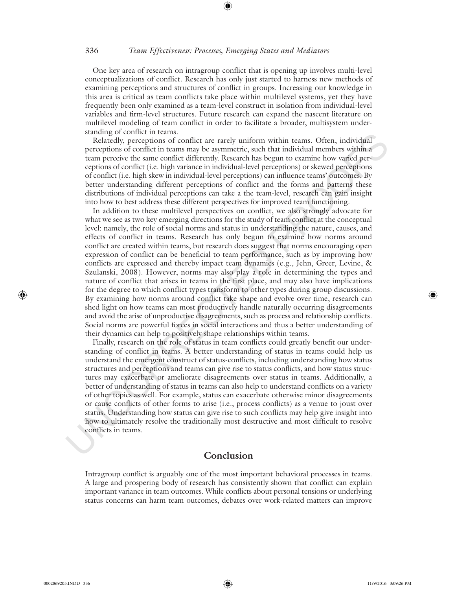One key area of research on intragroup conflict that is opening up involves multi‐level conceptualizations of conflict. Research has only just started to harness new methods of examining perceptions and structures of conflict in groups. Increasing our knowledge in this area is critical as team conflicts take place within multilevel systems, yet they have frequently been only examined as a team‐level construct in isolation from individual‐level variables and firm‐level structures. Future research can expand the nascent literature on multilevel modeling of team conflict in order to facilitate a broader, multisystem understanding of conflict in teams.

Relatedly, perceptions of conflict are rarely uniform within teams. Often, individual perceptions of conflict in teams may be asymmetric, such that individual members within a team perceive the same conflict differently. Research has begun to examine how varied perceptions of conflict (i.e. high variance in individual‐level perceptions) or skewed perceptions of conflict (i.e. high skew in individual‐level perceptions) can influence teams' outcomes. By better understanding different perceptions of conflict and the forms and patterns these distributions of individual perceptions can take a the team‐level, research can gain insight into how to best address these different perspectives for improved team functioning.

In addition to these multilevel perspectives on conflict, we also strongly advocate for what we see as two key emerging directions for the study of team conflict at the conceptual level: namely, the role of social norms and status in understanding the nature, causes, and effects of conflict in teams. Research has only begun to examine how norms around conflict are created within teams, but research does suggest that norms encouraging open expression of conflict can be beneficial to team performance, such as by improving how conflicts are expressed and thereby impact team dynamics (e.g., Jehn, Greer, Levine, & Szulanski, 2008). However, norms may also play a role in determining the types and nature of conflict that arises in teams in the first place, and may also have implications for the degree to which conflict types transform to other types during group discussions. By examining how norms around conflict take shape and evolve over time, research can shed light on how teams can most productively handle naturally occurring disagreements and avoid the arise of unproductive disagreements, such as process and relationship conflicts. Social norms are powerful forces in social interactions and thus a better understanding of their dynamics can help to positively shape relationships within teams. statuting of conflict are carried with interactions. Often, individual<br>Relatedly, perceptions of conflict are rarely uniform within them have a method perceptions of conflict differently. Research has began to examine how

Finally, research on the role of status in team conflicts could greatly benefit our understanding of conflict in teams. A better understanding of status in teams could help us understand the emergent construct of status‐conflicts, including understanding how status structures and perceptions and teams can give rise to status conflicts, and how status structures may exacerbate or ameliorate disagreements over status in teams. Additionally, a better of understanding of status in teams can also help to understand conflicts on a variety of other topics as well. For example, status can exacerbate otherwise minor disagreements or cause conflicts of other forms to arise (i.e., process conflicts) as a venue to joust over status. Understanding how status can give rise to such conflicts may help give insight into how to ultimately resolve the traditionally most destructive and most difficult to resolve conflicts in teams.

## **Conclusion**

Intragroup conflict is arguably one of the most important behavioral processes in teams. A large and prospering body of research has consistently shown that conflict can explain important variance in team outcomes. While conflicts about personal tensions or underlying status concerns can harm team outcomes, debates over work‐related matters can improve

↔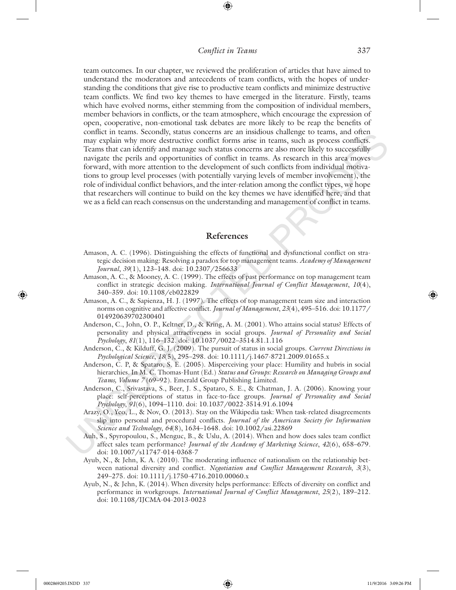◈

team outcomes. In our chapter, we reviewed the proliferation of articles that have aimed to understand the moderators and antecedents of team conflicts, with the hopes of understanding the conditions that give rise to productive team conflicts and minimize destructive team conflicts. We find two key themes to have emerged in the literature. Firstly, teams which have evolved norms, either stemming from the composition of individual members, member behaviors in conflicts, or the team atmosphere, which encourage the expression of open, cooperative, non‐emotional task debates are more likely to be reap the benefits of conflict in teams. Secondly, status concerns are an insidious challenge to teams, and often may explain why more destructive conflict forms arise in teams, such as process conflicts. Teams that can identify and manage such status concerns are also more likely to successfully navigate the perils and opportunities of conflict in teams. As research in this area moves forward, with more attention to the development of such conflicts from individual motivations to group level processes (with potentially varying levels of member involvement), the role of individual conflict behaviors, and the inter-relation among the conflict types, we hope that researchers will continue to build on the key themes we have identified here, and that we as a field can reach consensus on the understanding and management of conflict in teams. counter in teams. Sectionally, statis concerns are an instance of the measure of the teams that can be measured to the statistic conflict forms arise in teams, such as process conflicts.<br>
Trains that can identify and mana

#### **References**

- Amason, A. C. (1996). Distinguishing the effects of functional and dysfunctional conflict on strategic decision making: Resolving a paradox for top management teams. *Academy of Management Journal*, *39*(1), 123–148. doi: 10.2307/256633
- Amason, A. C., & Mooney, A. C. (1999). The effects of past performance on top management team conflict in strategic decision making. *International Journal of Conflict Management*, *10*(4), 340–359. doi: 10.1108/eb022829
- Amason, A. C., & Sapienza, H. J. (1997). The effects of top management team size and interaction norms on cognitive and affective conflict. *Journal of Management*, *23*(4), 495–516. doi: 10.1177/ 014920639702300401
- Anderson, C., John, O. P., Keltner, D., & Kring, A. M. (2001). Who attains social status? Effects of personality and physical attractiveness in social groups. *Journal of Personality and Social Psychology*, *81*(1), 116–132. doi: 10.1037/0022–3514.81.1.116
- Anderson, C., & Kilduff, G. J. (2009). The pursuit of status in social groups. *Current Directions in Psychological Science*, *18*(5), 295–298. doi: 10.1111/j.1467‐8721.2009.01655.x
- Anderson, C. P, & Spataro, S. E. (2005). Misperceiving your place: Humility and hubris in social hierarchies. In M. C. Thomas‐Hunt (Ed.) *Status and Groups: Research on Managing Groups and Teams, Volume 7* (69–92). Emerald Group Publishing Limited.
- Anderson, C., Srivastava, S., Beer, J. S., Spataro, S. E., & Chatman, J. A. (2006). Knowing your place: self-perceptions of status in face-to-face groups. *Journal of Personality and Social Psychology*, *91*(6), 1094–1110. doi: 10.1037/0022‐3514.91.6.1094
- Arazy, O., Yeo, L., & Nov, O. (2013). Stay on the Wikipedia task: When task‐related disagreements slip into personal and procedural conflicts. *Journal of the American Society for Information Science and Technology*, *64*(8), 1634–1648. doi: 10.1002/asi.22869
- Auh, S., Spyropoulou, S., Menguc, B., & Uslu, A. (2014). When and how does sales team conflict affect sales team performance? *Journal of the Academy of Marketing Science*, *42*(6), 658–679. doi: 10.1007/s11747‐014‐0368‐7
- Ayub, N., & Jehn, K. A. (2010). The moderating influence of nationalism on the relationship between national diversity and conflict. *Negotiation and Conflict Management Research*, *3*(3), 249–275. doi: 10.1111/j.1750‐4716.2010.00060.x
- Ayub, N., & Jehn, K. (2014). When diversity helps performance: Effects of diversity on conflict and performance in workgroups. *International Journal of Conflict Management*, *25*(2), 189–212. doi: 10.1108/IJCMA‐04‐2013‐0023

⊕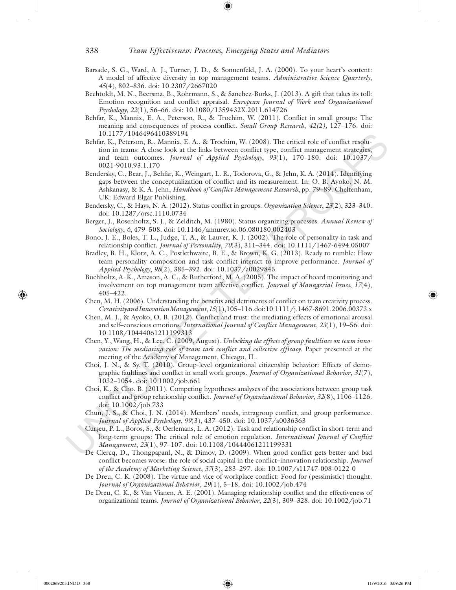- Barsade, S. G., Ward, A. J., Turner, J. D., & Sonnenfeld, J. A. (2000). To your heart's content: A model of affective diversity in top management teams. *Administrative Science Quarterly*, *45*(4), 802–836. doi: 10.2307/2667020
- Bechtoldt, M. N., Beersma, B., Rohrmann, S., & Sanchez‐Burks, J. (2013). A gift that takes its toll: Emotion recognition and conflict appraisal. *European Journal of Work and Organizational Psychology*, *22*(1), 56–66. doi: 10.1080/1359432X.2011.614726
- Behfar, K., Mannix, E. A., Peterson, R., & Trochim, W. (2011). Conflict in small groups: The meaning and consequences of process conflict. *Small Group Research*, *42(*2*),* 127–176. doi: 10.1177/1046496410389194
- Behfar, K., Peterson, R., Mannix, E. A., & Trochim, W. (2008). The critical role of conflict resolution in teams: A close look at the links between conflict type, conflict management strategies, and team outcomes. *Journal of Applied Psychology*, *93*(1), 170–180. doi: 10.1037/ 0021‐9010.93.1.170
- Bendersky, C., Bear, J., Behfar, K., Weingart, L. R., Todorova, G., & Jehn, K. A. (2014). Identifying gaps between the conceptualization of conflict and its measurement. In: O. B. Ayoko, N. M. Ashkanasy, & K. A. Jehn, *Handbook of Conflict Management Research*, pp. 79–89. Cheltenham, UK: Edward Elgar Publishing. 10.1777/1046646410889194<br>
16.1777/104664110889194<br>
16.1777/104664110889194<br>
16. R. Petrom, R. A. Mamax, E. A., & Trochim, W. (2008). The critical role of conflict resolution<br>
tion is case took at the histolectory conflict
	- Bendersky, C., & Hays, N. A. (2012). Status conflict in groups. *Organization Science*, *23*(2), 323–340. doi: 10.1287/orsc.1110.0734
	- Berger, J., Rosenholtz, S. J., & Zelditch, M. (1980). Status organizing processes. *Annual Review of Sociology*, *6*, 479–508. doi: 10.1146/annurev.so.06.080180.002403
	- Bono, J. E., Boles, T. L., Judge, T. A., & Lauver, K. J. (2002). The role of personality in task and relationship conflict. *Journal of Personality*, *70*(3), 311–344. doi: 10.1111/1467‐6494.05007
	- Bradley, B. H., Klotz, A. C., Postlethwaite, B. E., & Brown, K. G. (2013). Ready to rumble: How team personality composition and task conflict interact to improve performance. *Journal of Applied Psychology*, *98*(2), 385–392. doi: 10.1037/a0029845
	- Buchholtz, A. K., Amason, A. C., & Rutherford, M. A. (2005). The impact of board monitoring and involvement on top management team affective conflict. *Journal of Managerial Issues*, *17*(4), 405–422.
	- Chen, M. H. (2006). Understanding the benefits and detriments of conflict on team creativity process. *Creativity and Innovation Management*, *15*(1), 105–116. doi: 10.1111/j.1467‐8691.2006.00373.x
	- Chen, M. J., & Ayoko, O. B. (2012). Conflict and trust: the mediating effects of emotional arousal and self–conscious emotions. *International Journal of Conflict Management*, *23*(1), 19–56. doi: 10.1108/10444061211199313
	- Chen, Y., Wang, H., & Lee, C. (2009, August). *Unlocking the effects of group faultlines on team innovation: The mediating role of team task conflict and collective efficacy*. Paper presented at the meeting of the Academy of Management, Chicago, IL.
	- Choi, J. N., & Sy, T. (2010). Group‐level organizational citizenship behavior: Effects of demographic faultlines and conflict in small work groups. *Journal of Organizational Behavior*, *31*(7), 1032–1054. doi: 10.1002/job.661
	- Choi, K., & Cho, B. (2011). Competing hypotheses analyses of the associations between group task conflict and group relationship conflict. *Journal of Organizational Behavior*, *32*(8), 1106–1126. doi: 10.1002/job.733
	- Chun, J. S., & Choi, J. N. (2014). Members' needs, intragroup conflict, and group performance. *Journal of Applied Psychology*, *99*(3), 437–450. doi: 10.1037/a0036363
	- Curşeu, P. L., Boros, S., & Oerlemans, L. A. (2012). Task and relationship conflict in short-term and long‐term groups: The critical role of emotion regulation. *International Journal of Conflict Management*, *23*(1), 97–107. doi: 10.1108/10444061211199331
	- De Clercq, D., Thongpapanl, N., & Dimov, D. (2009). When good conflict gets better and bad conflict becomes worse: the role of social capital in the conflict–innovation relationship. *Journal of the Academy of Marketing Science*, *37*(3), 283–297. doi: 10.1007/s11747‐008‐0122‐0
	- De Dreu, C. K. (2008). The virtue and vice of workplace conflict: Food for (pessimistic) thought. *Journal of Organizational Behavior*, *29*(1), 5–18. doi: 10.1002/job.474
	- De Dreu, C. K., & Van Vianen, A. E. (2001). Managing relationship conflict and the effectiveness of organizational teams. *Journal of Organizational Behavior*, *22*(3), 309–328. doi: 10.1002/job.71

◈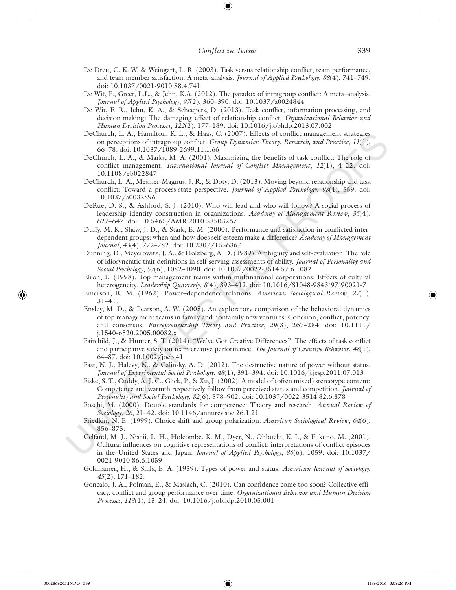- De Dreu, C. K. W. & Weingart, L. R. (2003). Task versus relationship conflict, team performance, and team member satisfaction: A meta–analysis. *Journal of Applied Psychology*, *88*(4), 741–749. doi: 10.1037/0021‐9010.88.4.741
- De Wit, F., Greer, L.L., & Jehn, K.A. (2012). The paradox of intragroup conflict: A meta–analysis. *Journal of Applied Psychology*, *97*(2), 360–390. doi: 10.1037/a0024844
- De Wit, F. R., Jehn, K. A., & Scheepers, D. (2013). Task conflict, information processing, and decision‐making: The damaging effect of relationship conflict. *Organizational Behavior and Human Decision Processes*, *122*(2), 177–189. doi: 10.1016/j.obhdp.2013.07.002
- DeChurch, L. A., Hamilton, K. L., & Haas, C. (2007). Effects of conflict management strategies on perceptions of intragroup conflict. *Group Dynamics: Theory, Research, and Practice*, *11*(1), 66–78. doi: 10.1037/1089‐2699.11.1.66
- DeChurch, L. A., & Marks, M. A. (2001). Maximizing the benefits of task conflict: The role of conflict management. *International Journal of Conflict Management*, *12*(1), 4–22. doi: 10.1108/eb022847
- DeChurch, L. A., Mesmer‐Magnus, J. R., & Doty, D. (2013). Moving beyond relationship and task conflict: Toward a process‐state perspective. *Journal of Applied Psychology*, *98*(4), 559. doi: 10.1037/a0032896
- DeRue, D. S., & Ashford, S. J. (2010). Who will lead and who will follow? A social process of leadership identity construction in organizations. *Academy of Management Review*, *35*(4), 627–647. doi: 10.5465/AMR.2010.53503267
- Duffy, M. K., Shaw, J. D., & Stark, E. M. (2000). Performance and satisfaction in conflicted interdependent groups: when and how does self‐esteem make a difference? *Academy of Management Journal*, *43*(4), 772–782. doi: 10.2307/1556367
- Dunning, D., Meyerowitz, J. A., & Holzberg, A. D. (1989). Ambiguity and self‐evaluation: The role of idiosyncratic trait definitions in self‐serving assessments of ability. *Journal of Personality and Social Psychology*, *57*(6), 1082–1090. doi: 10.1037/0022‐3514.57.6.1082
- Elron, E. (1998). Top management teams within multinational corporations: Effects of cultural heterogeneity. *Leadership Quarterly*, *8*(4), 393–412. doi: 10.1016/S1048‐9843(97)90021‐7
- Emerson, R. M. (1962). Power–dependence relations. *American Sociological Review*, *27*(1), 31–41.
- Ensley, M. D., & Pearson, A. W. (2005). An exploratory comparison of the behavioral dynamics of top management teams in family and nonfamily new ventures: Cohesion, conflict, potency, and consensus. *Entrepreneurship Theory and Practice*, *29*(3), 267–284. doi: 10.1111/ j.1540‐6520.2005.00082.x DeCharch, L.A., Hamilton, K.L., & Hams, C. (2007). Effects of conflict management strategies<br>of exceptions of interactions of interactions of the CoRE (California). The Charch is a conflict temperature of the conflict man
	- Fairchild, J., & Hunter, S. T. (2014). "We've Got Creative Differences": The effects of task conflict and participative safety on team creative performance. *The Journal of Creative Behavior*, *48*(1), 64–87. doi: 10.1002/jocb.41
	- Fast, N. J., Halevy, N., & Galinsky, A. D. (2012). The destructive nature of power without status. *Journal of Experimental Social Psychology*, *48*(1), 391–394. doi: 10.1016/j.jesp.2011.07.013
	- Fiske, S. T., Cuddy, A. J. C., Glick, P., & Xu, J. (2002). A model of (often mixed) stereotype content: Competence and warmth respectively follow from perceived status and competition. *Journal of Personality and Social Psychology*, *82*(6), 878–902. doi: 10.1037/0022‐3514.82.6.878
	- Foschi, M. (2000). Double standards for competence: Theory and research. *Annual Review of Sociology*, *26*, 21–42. doi: 10.1146/annurev.soc.26.1.21
	- Friedkin, N. E. (1999). Choice shift and group polarization. *American Sociological Review*, *64*(6), 856–875.
	- Gelfand, M. J., Nishii, L. H., Holcombe, K. M., Dyer, N., Ohbuchi, K. I., & Fukuno, M. (2001). Cultural influences on cognitive representations of conflict: interpretations of conflict episodes in the United States and Japan. *Journal of Applied Psychology*, *86*(6), 1059. doi: 10.1037/ 0021‐9010.86.6.1059
	- Goldhamer, H., & Shils, E. A. (1939). Types of power and status. *American Journal of Sociology*, *45*(2), 171–182.
	- Goncalo, J. A., Polman, E., & Maslach, C. (2010). Can confidence come too soon? Collective efficacy, conflict and group performance over time. *Organizational Behavior and Human Decision Processes*, *113*(1), 13–24. doi: 10.1016/j.obhdp.2010.05.001

⊕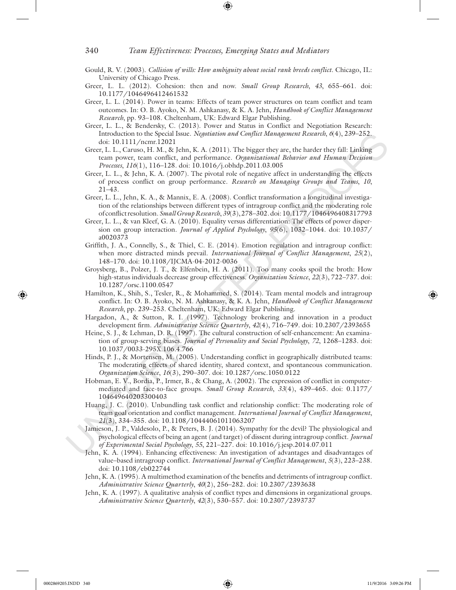- Gould, R. V. (2003). *Collision of wills: How ambiguity about social rank breeds conflict*. Chicago, IL: University of Chicago Press.
- Greer, L. L. (2012). Cohesion: then and now. *Small Group Research*, *43*, 655–661. doi: 10.1177/1046496412461532
- Greer, L. L. (2014). Power in teams: Effects of team power structures on team conflict and team outcomes. In: O. B. Ayoko, N. M. Ashkanasy, & K. A. Jehn, *Handbook of Conflict Management Research*, pp. 93–108. Cheltenham, UK: Edward Elgar Publishing.
- Greer, L. L., & Bendersky, C. (2013). Power and Status in Conflict and Negotiation Research: Introduction to the Special Issue. *Negotiation and Conflict Management Research*, *6*(4), 239–252. doi: 10.1111/ncmr.12021
- Greer, L. L., Caruso, H. M., & Jehn, K. A. (2011). The bigger they are, the harder they fall: Linking team power, team conflict, and performance. *Organizational Behavior and Human Decision Processes*, *116*(1), 116–128. doi: 10.1016/j.obhdp.2011.03.005 Introduction to the Special stock. Negativistic and Conflict Monogramu Recearch, 6(45), 239-252<br>
Ger, L. Carnas, H. M. & H. Carna, K. A. (2011). The bigget they are the hard they fall Linking<br>
Theorem, L. H. Carnas, H. M.
	- Greer, L. L., & Jehn, K. A. (2007). The pivotal role of negative affect in understanding the effects of process conflict on group performance. *Research on Managing Groups and Teams*, *10* , 21–43.
	- Greer, L. L., Jehn, K. A., & Mannix, E. A. (2008). Conflict transformation a longitudinal investigation of the relationships between different types of intragroup conflict and the moderating role of conflict resolution. *Small Group Research*, *39*(3), 278–302. doi: 10.1177/1046496408317793
	- Greer, L. L., & van Kleef, G. A. (2010). Equality versus differentiation: The effects of power dispersion on group interaction. *Journal of Applied Psychology*, *95*(6), 1032–1044. doi: 10.1037/ a0020373
	- Griffith, J. A., Connelly, S., & Thiel, C. E. (2014). Emotion regulation and intragroup conflict: when more distracted minds prevail. *International Journal of Conflict Management*, *25*(2), 148–170. doi: 10.1108/IJCMA‐04‐2012‐0036
	- Groysberg, B., Polzer, J. T., & Elfenbein, H. A. (2011). Too many cooks spoil the broth: How high-status individuals decrease group effectiveness. *Organization Science*, 22(3), 722–737. doi: 10.1287/orsc.1100.0547
	- Hamilton, K., Shih, S., Tesler, R., & Mohammed, S. (2014). Team mental models and intragroup conflict. In: O. B. Ayoko, N. M. Ashkanasy, & K. A. Jehn, *Handbook of Conflict Management Research*, pp. 239–253. Cheltenham, UK: Edward Elgar Publishing.
	- Hargadon, A., & Sutton, R. I. (1997). Technology brokering and innovation in a product development firm. *Administrative Science Quarterly*, *42*(4), 716–749. doi: 10.2307/2393655
	- Heine, S. J., & Lehman, D. R. (1997). The cultural construction of self-enhancement: An examination of group‐serving biases. *Journal of Personality and Social Psychology*, *72*, 1268–1283. doi: 10.1037/0033‐295X.106.4.766
	- Hinds, P. J., & Mortensen, M. (2005). Understanding conflict in geographically distributed teams: The moderating effects of shared identity, shared context, and spontaneous communication. *Organization Science*, *16*(3), 290–307. doi: 10.1287/orsc.1050.0122
	- Hobman, E. V., Bordia, P., Irmer, B., & Chang, A. (2002). The expression of conflict in computer‐ mediated and face‐to‐face groups. *Small Group Research*, *33*(4), 439–465. doi: 0.1177/ 104649640203300403
	- Huang, J. C. (2010). Unbundling task conflict and relationship conflict: The moderating role of team goal orientation and conflict management. *International Journal of Conflict Management*, *21*(3), 334–355. doi: 10.1108/10444061011063207
	- Jamieson, J. P., Valdesolo, P., & Peters, B. J. (2014). Sympathy for the devil? The physiological and psychological effects of being an agent (and target) of dissent during intragroup conflict. *Journal of Experimental Social Psychology*, *55*, 221–227. doi: 10.1016/j.jesp.2014.07.011
	- Jehn, K. A. (1994). Enhancing effectiveness: An investigation of advantages and disadvantages of value–based intragroup conflict. *International Journal of Conflict Management*, *5*(3), 223–238. doi: 10.1108/eb022744
	- Jehn, K. A. (1995). A multimethod examination of the benefits and detriments of intragroup conflict. *Administrative Science Quarterly*, *40*(2), 256–282. doi: 10.2307/2393638
	- Jehn, K. A. (1997). A qualitative analysis of conflict types and dimensions in organizational groups. *Administrative Science Quarterly*, *42*(3), 530–557. doi: 10.2307/2393737

⊕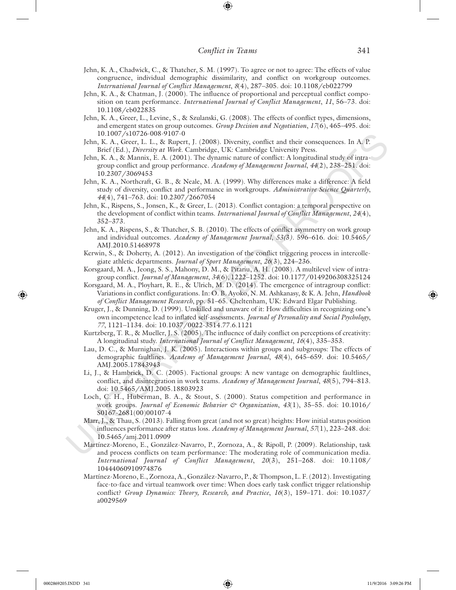⊕

- Jehn, K. A., Chadwick, C., & Thatcher, S. M. (1997). To agree or not to agree: The effects of value congruence, individual demographic dissimilarity, and conflict on workgroup outcomes. *International Journal of Conflict Management*, *8*(4), 287–305. doi: 10.1108/eb022799
- Jehn, K. A., & Chatman, J. (2000). The influence of proportional and perceptual conflict composition on team performance. *International Journal of Conflict Management*, *11*, 56–73. doi: 10.1108/eb022835
- Jehn, K. A., Greer, L., Levine, S., & Szulanski, G. (2008). The effects of conflict types, dimensions, and emergent states on group outcomes. *Group Decision and Negotiation*, *17*(6), 465–495. doi: 10.1007/s10726‐008‐9107‐0
- Jehn, K. A., Greer, L. L., & Rupert, J. (2008). Diversity, conflict and their consequences. In A. P. Brief (Ed.), *Diversity at Work*. Cambridge, UK: Cambridge University Press.
- Jehn, K. A., & Mannix, E. A. (2001). The dynamic nature of conflict: A longitudinal study of intragroup conflict and group performance. *Academy of Management Journal*, *44*(2), 238–251. doi: 10.2307/3069453
- Jehn, K. A., Northcraft, G. B., & Neale, M. A. (1999). Why differences make a difference: A field study of diversity, conflict and performance in workgroups. *Administrative Science Quarterly*, *44*(4), 741–763. doi: 10.2307/2667054 10.1007/s107526-068-1007-1078. (2008). Diversity, conflict and their consequences. In A. P. beling that the Ralph Core and propusation and propusation and propusation and propusation and propusation and propusation and pr
	- Jehn, K., Rispens, S., Jonsen, K., & Greer, L. (2013). Conflict contagion: a temporal perspective on the development of conflict within teams. *International Journal of Conflict Management*, *24*(4), 352–373.
	- Jehn, K. A., Rispens, S., & Thatcher, S. B. (2010). The effects of conflict asymmetry on work group and individual outcomes. *Academy of Management Journal*, *53(*3*)*. 596–616. doi: 10.5465/ AMJ.2010.51468978
	- Kerwin, S., & Doherty, A. (2012). An investigation of the conflict triggering process in intercollegiate athletic departments. *Journal of Sport Management*, *26*(3), 224–236.
	- Korsgaard, M. A., Jeong, S. S., Mahony, D. M., & Pitariu, A. H. (2008). A multilevel view of intragroup conflict. *Journal of Management*, *34*(6), 1222–1252. doi: 10.1177/0149206308325124
	- Korsgaard, M. A., Ployhart, R. E., & Ulrich, M. D. (2014). The emergence of intragroup conflict: Variations in conflict configurations. In: O. B. Ayoko, N. M. Ashkanasy, & K. A. Jehn, *Handbook of Conflict Management Research*, pp. 51–65. Cheltenham, UK: Edward Elgar Publishing.
	- Kruger, J., & Dunning, D. (1999). Unskilled and unaware of it: How difficulties in recognizing one's own incompetence lead to inflated self‐assessments. *Journal of Personality and Social Psychology*, *77*, 1121–1134. doi: 10.1037/0022‐3514.77.6.1121
	- Kurtzberg, T. R., & Mueller, J. S. (2005). The influence of daily conflict on perceptions of creativity: A longitudinal study. *International Journal of Conflict Management*, *16*(4), 335–353.
	- Lau, D. C., & Murnighan, J. K. (2005). Interactions within groups and subgroups: The effects of demographic faultlines. *Academy of Management Journal*, *48*(4), 645–659. doi: 10.5465/ AMJ.2005.17843943
	- Li, J., & Hambrick, D. C. (2005). Factional groups: A new vantage on demographic faultlines, conflict, and disintegration in work teams. *Academy of Management Journal*, *48*(5), 794–813. doi: 10.5465/AMJ.2005.18803923
	- Loch, C. H., Huberman, B. A., & Stout, S. (2000). Status competition and performance in work groups. *Journal of Economic Behavior & Organization*, *43*(1), 35–55. doi: 10.1016/ S0167‐2681(00)00107‐4
	- Marr, J., & Thau, S. (2013). Falling from great (and not so great) heights: How initial status position influences performance after status loss. *Academy of Management Journal*, *57*(1), 223–248. doi: 10.5465/amj.2011.0909
	- Martínez‐Moreno, E., González‐Navarro, P., Zornoza, A., & Ripoll, P. (2009). Relationship, task and process conflicts on team performance: The moderating role of communication media. *International Journal of Conflict Management*, *20* (3), 251–268. doi: 10.1108/ 10444060910974876
	- Martínez‐Moreno, E., Zornoza, A., González‐Navarro, P., & Thompson, L. F. (2012). Investigating face-to-face and virtual teamwork over time: When does early task conflict trigger relationship conflict? *Group Dynamics: Theory, Research, and Practice*, *16*(3), 159–171. doi: 10.1037/ a0029569

◈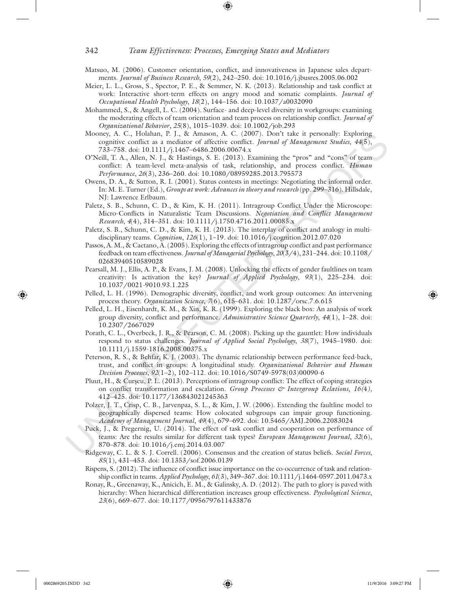- Matsuo, M. (2006). Customer orientation, conflict, and innovativeness in Japanese sales departments. *Journal of Business Research*, *59*(2), 242–250. doi: 10.1016/j.jbusres.2005.06.002
- Meier, L. L., Gross, S., Spector, P. E., & Semmer, N. K. (2013). Relationship and task conflict at work: Interactive short-term effects on angry mood and somatic complaints. *Journal of Occupational Health Psychology*, *18*(2), 144–156. doi: 10.1037/a0032090
- Mohammed, S., & Angell, L. C. (2004). Surface‐ and deep‐level diversity in workgroups: examining the moderating effects of team orientation and team process on relationship conflict. *Journal of Organizational Behavior*, *25*(8), 1015–1039. doi: 10.1002/job.293
- Mooney, A. C., Holahan, P. J., & Amason, A. C. (2007). Don't take it personally: Exploring cognitive conflict as a mediator of affective conflict. *Journal of Management Studies*, *44*(5), 733–758. doi: 10.1111/j.1467–6486.2006.00674.x
- O'Neill, T. A., Allen, N. J., & Hastings, S. E. (2013). Examining the "pros" and "cons" of team conflict: A team‐level meta‐analysis of task, relationship, and process conflict. *Human Performance*, *26*(3), 236–260. doi: 10.1080/08959285.2013.795573
- Owens, D. A., & Sutton, R. I. (2001). Status contests in meetings: Negotiating the informal order. In: M. E. Turner (Ed.), *Groups at work: Advances in theory and research* (pp. 299–316). Hillsdale, NJ: Lawrence Erlbaum.
- Paletz, S. B., Schunn, C. D., & Kim, K. H. (2011). Intragroup Conflict Under the Microscope: Micro‐Conflicts in Naturalistic Team Discussions. *Negotiation and Conflict Management Research*, *4*(4), 314–351. doi: 10.1111/j.1750.4716.2011.00085.x
- Paletz, S. B., Schunn, C. D., & Kim, K. H. (2013). The interplay of conflict and analogy in multidisciplinary teams. *Cognition*, *126*(1), 1–19. doi: 10.1016/j.cognition.2012.07.020
- Passos, A. M., & Caetano, A. (2005). Exploring the effects of intragroup conflict and past performance feedback on team effectiveness. *Journal of Managerial Psychology*, *20*(3/4), 231–244. doi: 10.1108/ 02683940510589028
- Pearsall, M. J., Ellis, A. P., & Evans, J. M. (2008). Unlocking the effects of gender faultlines on team creativity: Is activation the key? *Journal of Applied Psychology*, *93*(1), 225–234. doi: 10.1037/0021‐9010.93.1.225
- Pelled, L. H. (1996). Demographic diversity, conflict, and work group outcomes: An intervening process theory. *Organization Science*, *7*(6), 615–631. doi: 10.1287/orsc.7.6.615
- Pelled, L. H., Eisenhardt, K. M., & Xin, K. R. (1999). Exploring the black box: An analysis of work group diversity, conflict and performance. *Administrative Science Quarterly*, *44*(1), 1–28. doi: 10.2307/2667029
- Porath, C. L., Overbeck, J. R., & Pearson, C. M. (2008). Picking up the gauntlet: How individuals respond to status challenges. *Journal of Applied Social Psychology*, *38*(7), 1945–1980. doi: 10.1111/j.1559‐1816.2008.00375.x
- Peterson, R. S., & Behfar, K. J. (2003). The dynamic relationship between performance feed‐back, trust, and conflict in groups: A longitudinal study. *Organizational Behavior and Human Decision Processes*, *92*(1–2), 102–112. doi: 10.1016/S0749‐5978(03)00090‐6
- Pluut, H., & Curseu, P. L. (2013). Perceptions of intragroup conflict: The effect of coping strategies on conflict transformation and escalation. *Group Processes & Intergroup Relations*, *16(*4*),* 412–425. doi: 10.1177/136843021245363
- Polzer, J. T., Crisp, C. B., Jarvenpaa, S. L., & Kim, J. W. (2006). Extending the faultline model to geographically dispersed teams: How colocated subgroups can impair group functioning. *Academy of Management Journal*, *49*(4), 679–692. doi: 10.5465/AMJ.2006.22083024
- Puck, J., & Pregernig, U. (2014). The effect of task conflict and cooperation on performance of teams: Are the results similar for different task types? *European Management Journal*, *32*(6), 870–878. doi: 10.1016/j.emj.2014.03.007 Money, A. C., Holahan, P. I., & Manson, A. C. (2003). Don't take it personally Exploring (2003). The Section of the Control and Section (2003). The Section of the Control and The Control and The Control and The Control an
	- Ridgeway, C. L. & S. J. Correll. (2006). Consensus and the creation of status beliefs. *Social Forces*, *85*(1), 431–453. doi: 10.1353/sof.2006.0139
	- Rispens, S. (2012). The influence of conflict issue importance on the co-occurrence of task and relationship conflict in teams. *Applied Psychology*, *61*(3), 349–367. doi: 10.1111/j.1464‐0597.2011.0473.x
	- Ronay, R., Greenaway, K., Anicich, E. M., & Galinsky, A. D. (2012). The path to glory is paved with hierarchy: When hierarchical differentiation increases group effectiveness. *Psychological Science*, *23*(6), 669–677. doi: 10.1177/0956797611433876

⊕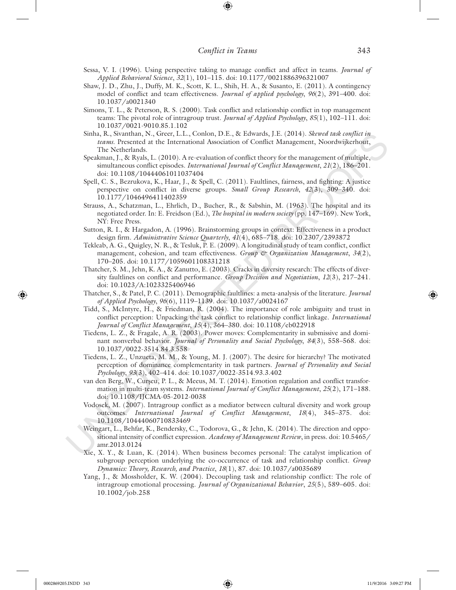⊕

- Sessa, V. I. (1996). Using perspective taking to manage conflict and affect in teams. *Journal of Applied Behavioral Science*, *32*(1), 101–115. doi: 10.1177/0021886396321007
- Shaw, J. D., Zhu, J., Duffy, M. K., Scott, K. L., Shih, H. A., & Susanto, E. (2011). A contingency model of conflict and team effectiveness. *Journal of applied psychology*, *96*(2), 391–400. doi: 10.1037/a0021340
- Simons, T. L., & Peterson, R. S. (2000). Task conflict and relationship conflict in top management teams: The pivotal role of intragroup trust. *Journal of Applied Psychology*, *85*(1), 102–111. doi: 10.1037/0021‐9010.85.1.102
- Sinha, R., Sivanthan, N., Greer, L.L., Conlon, D.E., & Edwards, J.E. (2014). *Skewed task conflict in teams*. Presented at the International Association of Conflict Management, Noordwijkerhout, The Netherlands.
- Speakman, J., & Ryals, L. (2010). A re‐evaluation of conflict theory for the management of multiple, simultaneous conflict episodes. *International Journal of Conflict Management*, *21*(2), 186–201. doi: 10.1108/10444061011037404
- Spell, C. S., Bezrukova, K., Haar, J., & Spell, C. (2011). Faultlines, fairness, and fighting: A justice perspective on conflict in diverse groups. *Small Group Research*, *42*(3), 309–340. doi: 10.1177/1046496411402359
- Strauss, A., Schatzman, L., Ehrlich, D., Bucher, R., & Sabshin, M. (1963). The hospital and its negotiated order. In: E. Freidson (Ed.), *The hospital in modern society* (pp. 147–169). New York, NY: Free Press.
- Sutton, R. I., & Hargadon, A. (1996). Brainstorming groups in context: Effectiveness in a product design firm. *Administrative Science Quarterly*, *41*(4), 685–718. doi: 10.2307/2393872
- Tekleab, A. G., Quigley, N. R., & Tesluk, P. E. (2009). A longitudinal study of team conflict, conflict management, cohesion, and team effectiveness. *Group & Organization Management*, *34*(2), 170–205. doi: 10.1177/1059601108331218
- Thatcher, S. M., Jehn, K. A., & Zanutto, E. (2003). Cracks in diversity research: The effects of diversity faultlines on conflict and performance. *Group Decision and Negotiation*, *12*(3), 217–241. doi: 10.1023/A:1023325406946
- Thatcher, S., & Patel, P. C. (2011). Demographic faultlines: a meta‐analysis of the literature. *Journal of Applied Psychology*, *96*(6), 1119–1139. doi: 10.1037/a0024167
- Tidd, S., McIntyre, H., & Friedman, R. (2004). The importance of role ambiguity and trust in conflict perception: Unpacking the task conflict to relationship conflict linkage. *International Journal of Conflict Management*, *15*(4), 364–380. doi: 10.1108/eb022918
- Tiedens, L. Z., & Fragale, A. R. (2003). Power moves: Complementarity in submissive and dominant nonverbal behavior. *Journal of Personality and Social Psychology*, *84*(3), 558–568. doi: 10.1037/0022‐3514.84.3.558
- Tiedens, L. Z., Unzueta, M. M., & Young, M. J. (2007). The desire for hierarchy? The motivated perception of dominance complementarity in task partners. *Journal of Personality and Social Psychology*, *93*(3), 402–414. doi: 10.1037/0022‐3514.93.3.402
- van den Berg, W., Curseu, P. L., & Meeus, M. T. (2014). Emotion regulation and conflict transformation in multi‐team systems. *International Journal of Conflict Management*, *25*(2), 171–188. doi: 10.1108/IJCMA‐05‐2012‐0038
- Vodosek, M. (2007). Intragroup conflict as a mediator between cultural diversity and work group outcomes. *International Journal of Conflict Management*, *18*(4), 345–375. doi: 10.1108/10444060710833469
- Weingart, L., Behfar, K., Bendersky, C., Todorova, G., & Jehn, K. (2014). The direction and oppositional intensity of conflict expression. *Academy of Management Review*, in press. doi: 10.5465/ amr.2013.0124 Sink, R, Swamtan, N, Groot, LL-, Coloon, D.E., & Elayearls, B. (2014). Stevent and another process contains the conflict strangement, Noordwijkerhoot, The Nederlands, 1. (2010). A re-ordination of conflict rheory for the
	- Xie, X. Y., & Luan, K. (2014). When business becomes personal: The catalyst implication of subgroup perception underlying the co-occurrence of task and relationship conflict. *Group Dynamics: Theory, Research, and Practice*, *18*(1), 87. doi: 10.1037/a0035689
	- Yang, J., & Mossholder, K. W. (2004). Decoupling task and relationship conflict: The role of intragroup emotional processing. *Journal of Organizational Behavior*, *25*(5), 589–605. doi: 10.1002/job.258

⊕